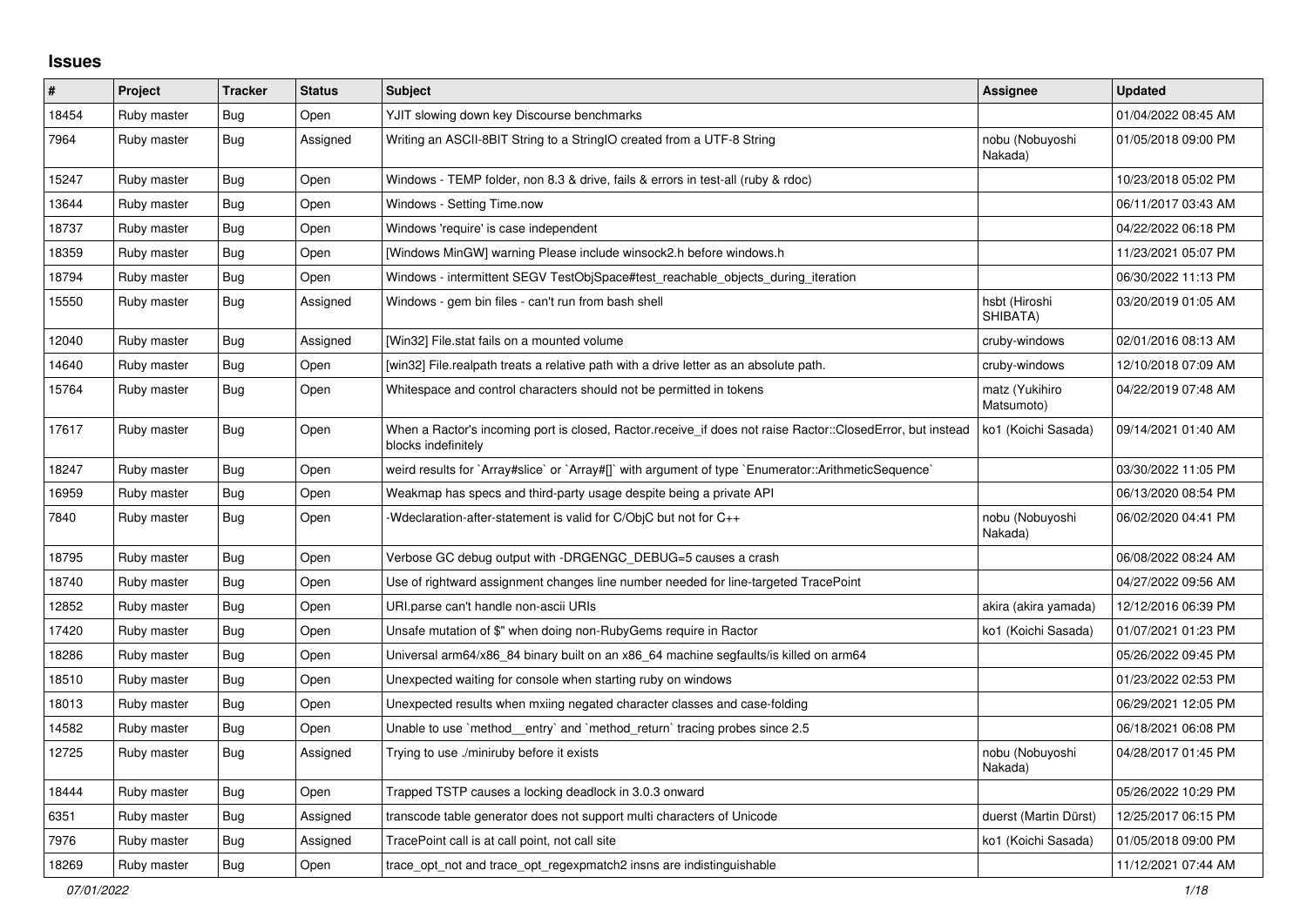## **Issues**

| #     | Project     | <b>Tracker</b> | <b>Status</b> | <b>Subject</b>                                                                                                                    | Assignee                     | <b>Updated</b>      |
|-------|-------------|----------------|---------------|-----------------------------------------------------------------------------------------------------------------------------------|------------------------------|---------------------|
| 18454 | Ruby master | <b>Bug</b>     | Open          | YJIT slowing down key Discourse benchmarks                                                                                        |                              | 01/04/2022 08:45 AM |
| 7964  | Ruby master | <b>Bug</b>     | Assigned      | Writing an ASCII-8BIT String to a StringIO created from a UTF-8 String                                                            | nobu (Nobuyoshi<br>Nakada)   | 01/05/2018 09:00 PM |
| 15247 | Ruby master | <b>Bug</b>     | Open          | Windows - TEMP folder, non 8.3 & drive, fails & errors in test-all (ruby & rdoc)                                                  |                              | 10/23/2018 05:02 PM |
| 13644 | Ruby master | <b>Bug</b>     | Open          | Windows - Setting Time.now                                                                                                        |                              | 06/11/2017 03:43 AM |
| 18737 | Ruby master | <b>Bug</b>     | Open          | Windows 'require' is case independent                                                                                             |                              | 04/22/2022 06:18 PM |
| 18359 | Ruby master | Bug            | Open          | [Windows MinGW] warning Please include winsock2.h before windows.h                                                                |                              | 11/23/2021 05:07 PM |
| 18794 | Ruby master | <b>Bug</b>     | Open          | Windows - intermittent SEGV TestObjSpace#test reachable objects during iteration                                                  |                              | 06/30/2022 11:13 PM |
| 15550 | Ruby master | <b>Bug</b>     | Assigned      | Windows - gem bin files - can't run from bash shell                                                                               | hsbt (Hiroshi<br>SHIBATA)    | 03/20/2019 01:05 AM |
| 12040 | Ruby master | Bug            | Assigned      | [Win32] File.stat fails on a mounted volume                                                                                       | cruby-windows                | 02/01/2016 08:13 AM |
| 14640 | Ruby master | Bug            | Open          | [win32] File.realpath treats a relative path with a drive letter as an absolute path.                                             | cruby-windows                | 12/10/2018 07:09 AM |
| 15764 | Ruby master | Bug            | Open          | Whitespace and control characters should not be permitted in tokens                                                               | matz (Yukihiro<br>Matsumoto) | 04/22/2019 07:48 AM |
| 17617 | Ruby master | <b>Bug</b>     | Open          | When a Ractor's incoming port is closed, Ractor.receive_if does not raise Ractor::ClosedError, but instead<br>blocks indefinitely | ko1 (Koichi Sasada)          | 09/14/2021 01:40 AM |
| 18247 | Ruby master | <b>Bug</b>     | Open          | weird results for `Array#slice` or `Array#[]` with argument of type `Enumerator::ArithmeticSequence`                              |                              | 03/30/2022 11:05 PM |
| 16959 | Ruby master | <b>Bug</b>     | Open          | Weakmap has specs and third-party usage despite being a private API                                                               |                              | 06/13/2020 08:54 PM |
| 7840  | Ruby master | Bug            | Open          | -Wdeclaration-after-statement is valid for C/ObjC but not for C++                                                                 | nobu (Nobuyoshi<br>Nakada)   | 06/02/2020 04:41 PM |
| 18795 | Ruby master | <b>Bug</b>     | Open          | Verbose GC debug output with -DRGENGC_DEBUG=5 causes a crash                                                                      |                              | 06/08/2022 08:24 AM |
| 18740 | Ruby master | <b>Bug</b>     | Open          | Use of rightward assignment changes line number needed for line-targeted TracePoint                                               |                              | 04/27/2022 09:56 AM |
| 12852 | Ruby master | Bug            | Open          | URI.parse can't handle non-ascii URIs                                                                                             | akira (akira yamada)         | 12/12/2016 06:39 PM |
| 17420 | Ruby master | Bug            | Open          | Unsafe mutation of \$" when doing non-RubyGems require in Ractor                                                                  | ko1 (Koichi Sasada)          | 01/07/2021 01:23 PM |
| 18286 | Ruby master | Bug            | Open          | Universal arm64/x86 84 binary built on an x86 64 machine segfaults/is killed on arm64                                             |                              | 05/26/2022 09:45 PM |
| 18510 | Ruby master | Bug            | Open          | Unexpected waiting for console when starting ruby on windows                                                                      |                              | 01/23/2022 02:53 PM |
| 18013 | Ruby master | <b>Bug</b>     | Open          | Unexpected results when mxiing negated character classes and case-folding                                                         |                              | 06/29/2021 12:05 PM |
| 14582 | Ruby master | Bug            | Open          | Unable to use `method_entry` and `method_return` tracing probes since 2.5                                                         |                              | 06/18/2021 06:08 PM |
| 12725 | Ruby master | Bug            | Assigned      | Trying to use ./miniruby before it exists                                                                                         | nobu (Nobuyoshi<br>Nakada)   | 04/28/2017 01:45 PM |
| 18444 | Ruby master | <b>Bug</b>     | Open          | Trapped TSTP causes a locking deadlock in 3.0.3 onward                                                                            |                              | 05/26/2022 10:29 PM |
| 6351  | Ruby master | Bug            | Assigned      | transcode table generator does not support multi characters of Unicode                                                            | duerst (Martin Dürst)        | 12/25/2017 06:15 PM |
| 7976  | Ruby master | <b>Bug</b>     | Assigned      | TracePoint call is at call point, not call site                                                                                   | ko1 (Koichi Sasada)          | 01/05/2018 09:00 PM |
| 18269 | Ruby master | <b>Bug</b>     | Open          | trace opt not and trace opt regexpmatch2 insns are indistinguishable                                                              |                              | 11/12/2021 07:44 AM |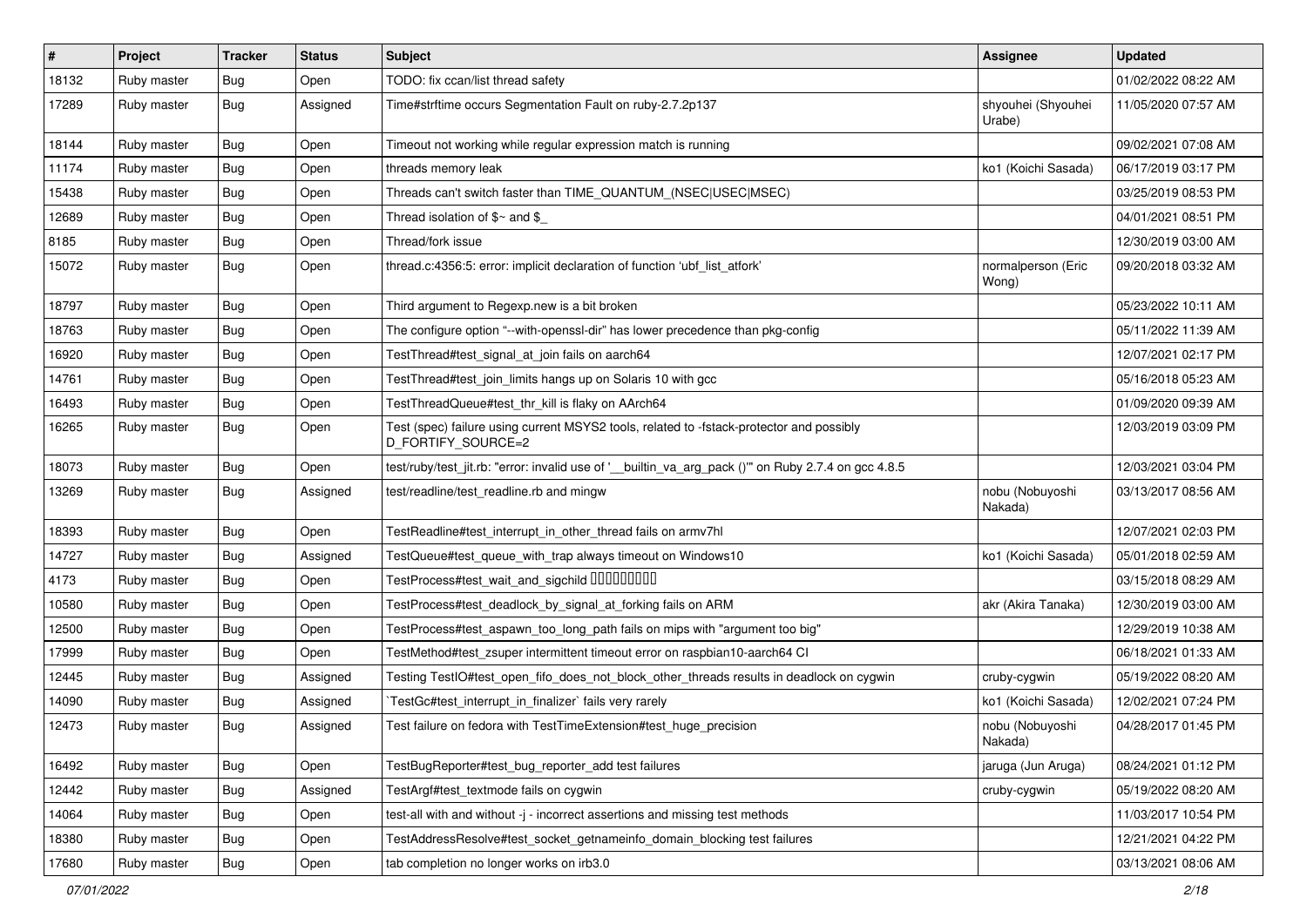| $\vert$ # | Project     | <b>Tracker</b> | <b>Status</b> | <b>Subject</b>                                                                                                 | Assignee                     | <b>Updated</b>      |
|-----------|-------------|----------------|---------------|----------------------------------------------------------------------------------------------------------------|------------------------------|---------------------|
| 18132     | Ruby master | Bug            | Open          | TODO: fix ccan/list thread safety                                                                              |                              | 01/02/2022 08:22 AM |
| 17289     | Ruby master | Bug            | Assigned      | Time#strftime occurs Segmentation Fault on ruby-2.7.2p137                                                      | shyouhei (Shyouhei<br>Urabe) | 11/05/2020 07:57 AM |
| 18144     | Ruby master | <b>Bug</b>     | Open          | Timeout not working while regular expression match is running                                                  |                              | 09/02/2021 07:08 AM |
| 11174     | Ruby master | <b>Bug</b>     | Open          | threads memory leak                                                                                            | ko1 (Koichi Sasada)          | 06/17/2019 03:17 PM |
| 15438     | Ruby master | Bug            | Open          | Threads can't switch faster than TIME QUANTUM (NSEC USEC MSEC)                                                 |                              | 03/25/2019 08:53 PM |
| 12689     | Ruby master | Bug            | Open          | Thread isolation of $\frac{6}{3}$ and $\frac{6}{3}$                                                            |                              | 04/01/2021 08:51 PM |
| 8185      | Ruby master | Bug            | Open          | Thread/fork issue                                                                                              |                              | 12/30/2019 03:00 AM |
| 15072     | Ruby master | Bug            | Open          | thread.c:4356:5: error: implicit declaration of function 'ubf_list_atfork'                                     | normalperson (Eric<br>Wong)  | 09/20/2018 03:32 AM |
| 18797     | Ruby master | Bug            | Open          | Third argument to Regexp.new is a bit broken                                                                   |                              | 05/23/2022 10:11 AM |
| 18763     | Ruby master | Bug            | Open          | The configure option "--with-openssl-dir" has lower precedence than pkg-config                                 |                              | 05/11/2022 11:39 AM |
| 16920     | Ruby master | <b>Bug</b>     | Open          | TestThread#test_signal_at_join fails on aarch64                                                                |                              | 12/07/2021 02:17 PM |
| 14761     | Ruby master | Bug            | Open          | TestThread#test_join_limits hangs up on Solaris 10 with gcc                                                    |                              | 05/16/2018 05:23 AM |
| 16493     | Ruby master | Bug            | Open          | TestThreadQueue#test_thr_kill is flaky on AArch64                                                              |                              | 01/09/2020 09:39 AM |
| 16265     | Ruby master | Bug            | Open          | Test (spec) failure using current MSYS2 tools, related to -fstack-protector and possibly<br>D_FORTIFY_SOURCE=2 |                              | 12/03/2019 03:09 PM |
| 18073     | Ruby master | <b>Bug</b>     | Open          | test/ruby/test_jit.rb: "error: invalid use of '__builtin_va_arg_pack ()" on Ruby 2.7.4 on gcc 4.8.5            |                              | 12/03/2021 03:04 PM |
| 13269     | Ruby master | Bug            | Assigned      | test/readline/test_readline.rb and mingw                                                                       | nobu (Nobuyoshi<br>Nakada)   | 03/13/2017 08:56 AM |
| 18393     | Ruby master | <b>Bug</b>     | Open          | TestReadline#test_interrupt_in_other_thread fails on armv7hl                                                   |                              | 12/07/2021 02:03 PM |
| 14727     | Ruby master | Bug            | Assigned      | TestQueue#test_queue_with_trap always timeout on Windows10                                                     | ko1 (Koichi Sasada)          | 05/01/2018 02:59 AM |
| 4173      | Ruby master | Bug            | Open          |                                                                                                                |                              | 03/15/2018 08:29 AM |
| 10580     | Ruby master | <b>Bug</b>     | Open          | TestProcess#test_deadlock_by_signal_at_forking fails on ARM                                                    | akr (Akira Tanaka)           | 12/30/2019 03:00 AM |
| 12500     | Ruby master | Bug            | Open          | TestProcess#test_aspawn_too_long_path fails on mips with "argument too big"                                    |                              | 12/29/2019 10:38 AM |
| 17999     | Ruby master | <b>Bug</b>     | Open          | TestMethod#test_zsuper intermittent timeout error on raspbian10-aarch64 Cl                                     |                              | 06/18/2021 01:33 AM |
| 12445     | Ruby master | <b>Bug</b>     | Assigned      | Testing TestIO#test open fifo does not block other threads results in deadlock on cygwin                       | cruby-cygwin                 | 05/19/2022 08:20 AM |
| 14090     | Ruby master | <b>Bug</b>     | Assigned      | TestGc#test interrupt in finalizer` fails very rarely                                                          | ko1 (Koichi Sasada)          | 12/02/2021 07:24 PM |
| 12473     | Ruby master | <b>Bug</b>     | Assigned      | Test failure on fedora with TestTimeExtension#test huge precision                                              | nobu (Nobuyoshi<br>Nakada)   | 04/28/2017 01:45 PM |
| 16492     | Ruby master | Bug            | Open          | TestBugReporter#test_bug_reporter_add test failures                                                            | jaruga (Jun Aruga)           | 08/24/2021 01:12 PM |
| 12442     | Ruby master | Bug            | Assigned      | TestArgf#test_textmode fails on cygwin                                                                         | cruby-cygwin                 | 05/19/2022 08:20 AM |
| 14064     | Ruby master | <b>Bug</b>     | Open          | test-all with and without -j - incorrect assertions and missing test methods                                   |                              | 11/03/2017 10:54 PM |
| 18380     | Ruby master | <b>Bug</b>     | Open          | TestAddressResolve#test_socket_getnameinfo_domain_blocking test failures                                       |                              | 12/21/2021 04:22 PM |
| 17680     | Ruby master | Bug            | Open          | tab completion no longer works on irb3.0                                                                       |                              | 03/13/2021 08:06 AM |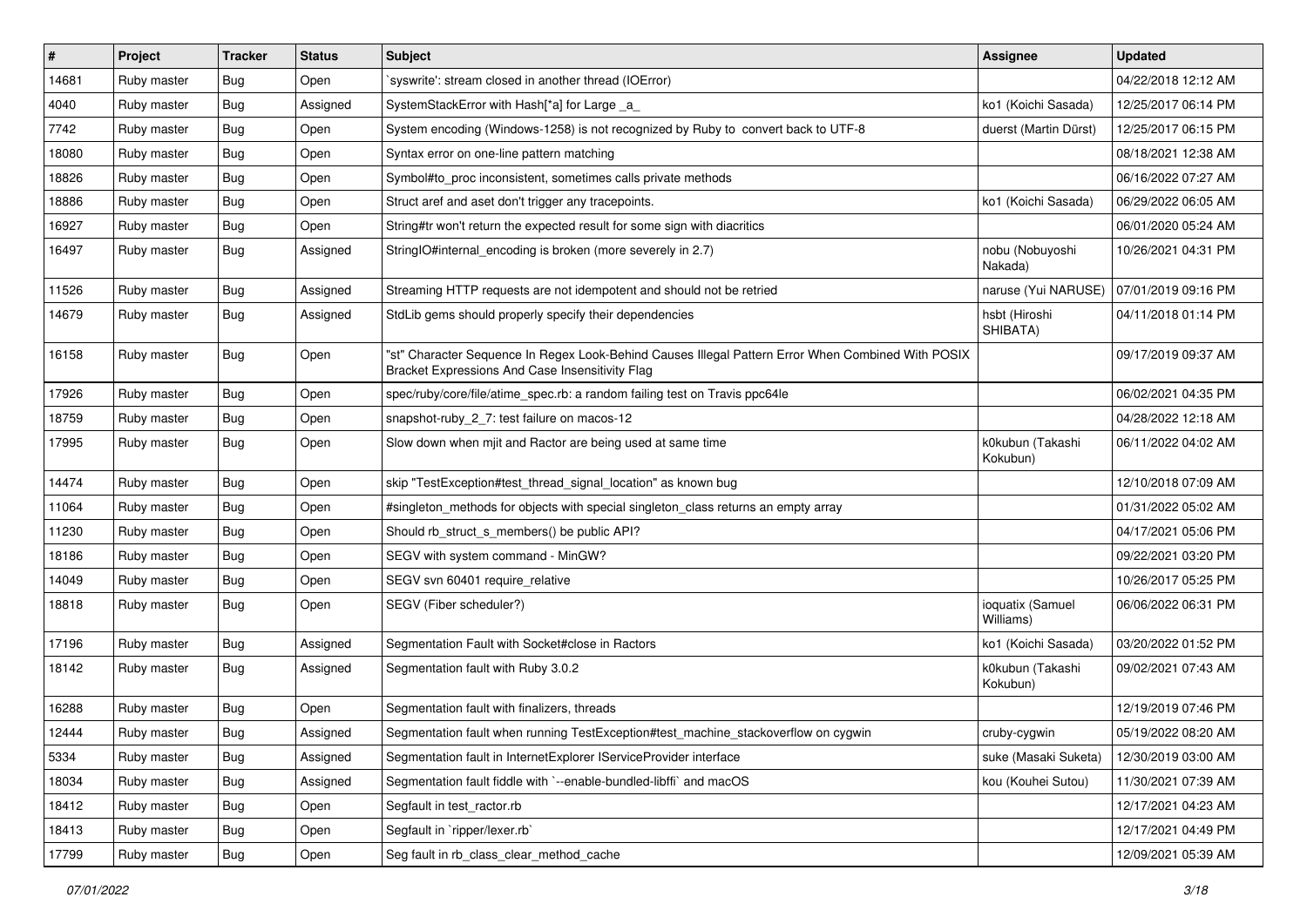| $\vert$ # | Project     | <b>Tracker</b> | <b>Status</b> | Subject                                                                                                                                               | <b>Assignee</b>               | <b>Updated</b>      |
|-----------|-------------|----------------|---------------|-------------------------------------------------------------------------------------------------------------------------------------------------------|-------------------------------|---------------------|
| 14681     | Ruby master | <b>Bug</b>     | Open          | syswrite': stream closed in another thread (IOError)                                                                                                  |                               | 04/22/2018 12:12 AM |
| 4040      | Ruby master | <b>Bug</b>     | Assigned      | SystemStackError with Hash[*a] for Large _a_                                                                                                          | ko1 (Koichi Sasada)           | 12/25/2017 06:14 PM |
| 7742      | Ruby master | <b>Bug</b>     | Open          | System encoding (Windows-1258) is not recognized by Ruby to convert back to UTF-8                                                                     | duerst (Martin Dürst)         | 12/25/2017 06:15 PM |
| 18080     | Ruby master | <b>Bug</b>     | Open          | Syntax error on one-line pattern matching                                                                                                             |                               | 08/18/2021 12:38 AM |
| 18826     | Ruby master | Bug            | Open          | Symbol#to_proc inconsistent, sometimes calls private methods                                                                                          |                               | 06/16/2022 07:27 AM |
| 18886     | Ruby master | <b>Bug</b>     | Open          | Struct aref and aset don't trigger any tracepoints.                                                                                                   | ko1 (Koichi Sasada)           | 06/29/2022 06:05 AM |
| 16927     | Ruby master | <b>Bug</b>     | Open          | String#tr won't return the expected result for some sign with diacritics                                                                              |                               | 06/01/2020 05:24 AM |
| 16497     | Ruby master | <b>Bug</b>     | Assigned      | StringIO#internal_encoding is broken (more severely in 2.7)                                                                                           | nobu (Nobuyoshi<br>Nakada)    | 10/26/2021 04:31 PM |
| 11526     | Ruby master | <b>Bug</b>     | Assigned      | Streaming HTTP requests are not idempotent and should not be retried                                                                                  | naruse (Yui NARUSE)           | 07/01/2019 09:16 PM |
| 14679     | Ruby master | <b>Bug</b>     | Assigned      | StdLib gems should properly specify their dependencies                                                                                                | hsbt (Hiroshi<br>SHIBATA)     | 04/11/2018 01:14 PM |
| 16158     | Ruby master | Bug            | Open          | 'st" Character Sequence In Regex Look-Behind Causes Illegal Pattern Error When Combined With POSIX<br>Bracket Expressions And Case Insensitivity Flag |                               | 09/17/2019 09:37 AM |
| 17926     | Ruby master | <b>Bug</b>     | Open          | spec/ruby/core/file/atime_spec.rb: a random failing test on Travis ppc64le                                                                            |                               | 06/02/2021 04:35 PM |
| 18759     | Ruby master | <b>Bug</b>     | Open          | snapshot-ruby_2_7: test failure on macos-12                                                                                                           |                               | 04/28/2022 12:18 AM |
| 17995     | Ruby master | Bug            | Open          | Slow down when mjit and Ractor are being used at same time                                                                                            | k0kubun (Takashi<br>Kokubun)  | 06/11/2022 04:02 AM |
| 14474     | Ruby master | <b>Bug</b>     | Open          | skip "TestException#test thread signal location" as known bug                                                                                         |                               | 12/10/2018 07:09 AM |
| 11064     | Ruby master | <b>Bug</b>     | Open          | #singleton_methods for objects with special singleton_class returns an empty array                                                                    |                               | 01/31/2022 05:02 AM |
| 11230     | Ruby master | <b>Bug</b>     | Open          | Should rb_struct_s_members() be public API?                                                                                                           |                               | 04/17/2021 05:06 PM |
| 18186     | Ruby master | Bug            | Open          | SEGV with system command - MinGW?                                                                                                                     |                               | 09/22/2021 03:20 PM |
| 14049     | Ruby master | <b>Bug</b>     | Open          | SEGV svn 60401 require relative                                                                                                                       |                               | 10/26/2017 05:25 PM |
| 18818     | Ruby master | <b>Bug</b>     | Open          | SEGV (Fiber scheduler?)                                                                                                                               | ioquatix (Samuel<br>Williams) | 06/06/2022 06:31 PM |
| 17196     | Ruby master | <b>Bug</b>     | Assigned      | Segmentation Fault with Socket#close in Ractors                                                                                                       | ko1 (Koichi Sasada)           | 03/20/2022 01:52 PM |
| 18142     | Ruby master | <b>Bug</b>     | Assigned      | Segmentation fault with Ruby 3.0.2                                                                                                                    | k0kubun (Takashi<br>Kokubun)  | 09/02/2021 07:43 AM |
| 16288     | Ruby master | <b>Bug</b>     | Open          | Segmentation fault with finalizers, threads                                                                                                           |                               | 12/19/2019 07:46 PM |
| 12444     | Ruby master | Bug            | Assigned      | Segmentation fault when running TestException#test_machine_stackoverflow on cygwin                                                                    | cruby-cygwin                  | 05/19/2022 08:20 AM |
| 5334      | Ruby master | Bug            | Assigned      | Segmentation fault in InternetExplorer IServiceProvider interface                                                                                     | suke (Masaki Suketa)          | 12/30/2019 03:00 AM |
| 18034     | Ruby master | <b>Bug</b>     | Assigned      | Segmentation fault fiddle with `--enable-bundled-libffi` and macOS                                                                                    | kou (Kouhei Sutou)            | 11/30/2021 07:39 AM |
| 18412     | Ruby master | <b>Bug</b>     | Open          | Segfault in test_ractor.rb                                                                                                                            |                               | 12/17/2021 04:23 AM |
| 18413     | Ruby master | <b>Bug</b>     | Open          | Segfault in 'ripper/lexer.rb'                                                                                                                         |                               | 12/17/2021 04:49 PM |
| 17799     | Ruby master | <b>Bug</b>     | Open          | Seg fault in rb_class_clear_method_cache                                                                                                              |                               | 12/09/2021 05:39 AM |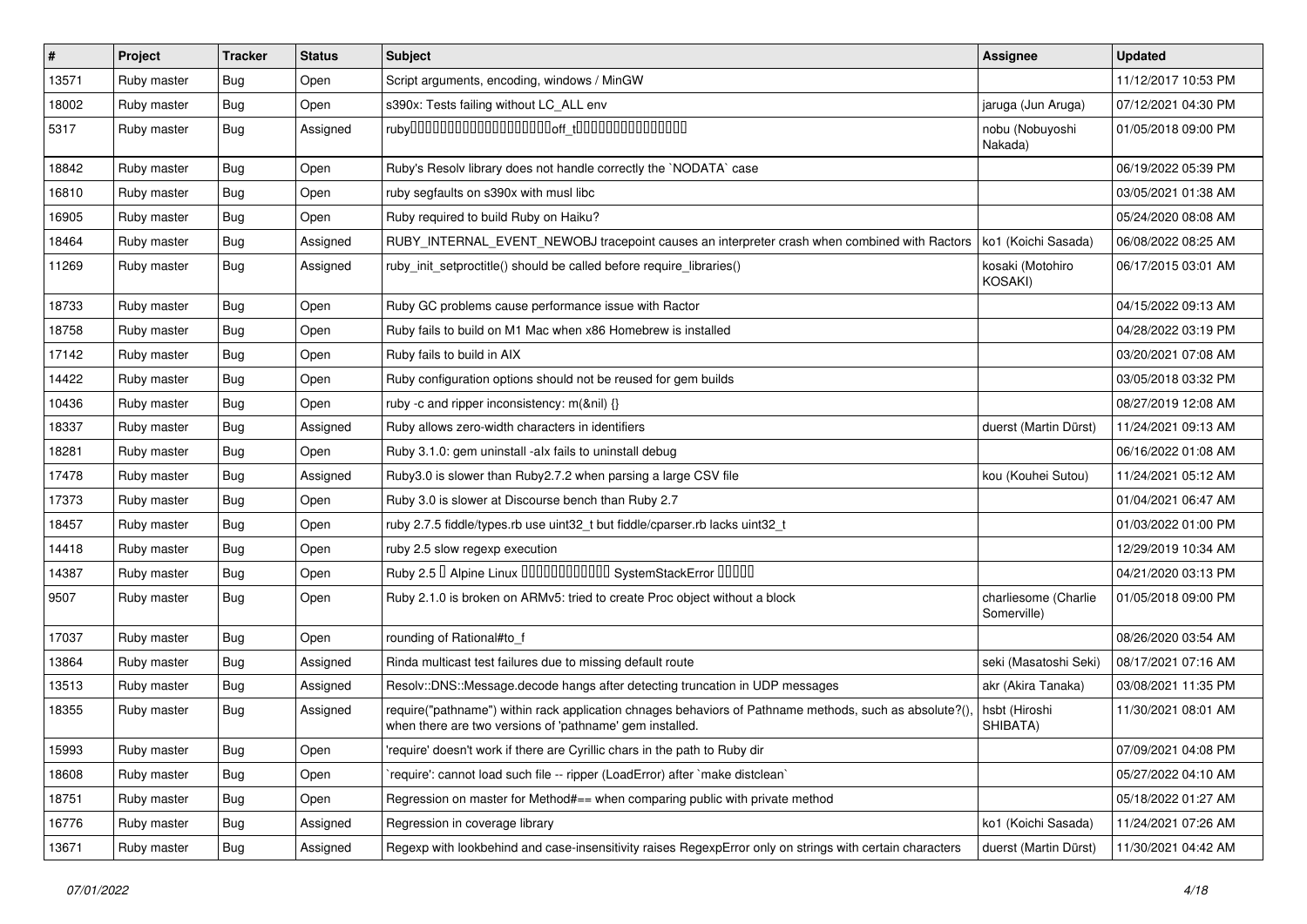| $\sharp$ | Project     | <b>Tracker</b> | <b>Status</b> | Subject                                                                                                                                                            | Assignee                            | <b>Updated</b>      |
|----------|-------------|----------------|---------------|--------------------------------------------------------------------------------------------------------------------------------------------------------------------|-------------------------------------|---------------------|
| 13571    | Ruby master | Bug            | Open          | Script arguments, encoding, windows / MinGW                                                                                                                        |                                     | 11/12/2017 10:53 PM |
| 18002    | Ruby master | Bug            | Open          | s390x: Tests failing without LC_ALL env                                                                                                                            | jaruga (Jun Aruga)                  | 07/12/2021 04:30 PM |
| 5317     | Ruby master | Bug            | Assigned      |                                                                                                                                                                    | nobu (Nobuyoshi<br>Nakada)          | 01/05/2018 09:00 PM |
| 18842    | Ruby master | <b>Bug</b>     | Open          | Ruby's Resolv library does not handle correctly the `NODATA` case                                                                                                  |                                     | 06/19/2022 05:39 PM |
| 16810    | Ruby master | Bug            | Open          | ruby segfaults on s390x with musl libc                                                                                                                             |                                     | 03/05/2021 01:38 AM |
| 16905    | Ruby master | <b>Bug</b>     | Open          | Ruby required to build Ruby on Haiku?                                                                                                                              |                                     | 05/24/2020 08:08 AM |
| 18464    | Ruby master | Bug            | Assigned      | RUBY_INTERNAL_EVENT_NEWOBJ tracepoint causes an interpreter crash when combined with Ractors                                                                       | ko1 (Koichi Sasada)                 | 06/08/2022 08:25 AM |
| 11269    | Ruby master | Bug            | Assigned      | ruby_init_setproctitle() should be called before require_libraries()                                                                                               | kosaki (Motohiro<br>KOSAKI)         | 06/17/2015 03:01 AM |
| 18733    | Ruby master | <b>Bug</b>     | Open          | Ruby GC problems cause performance issue with Ractor                                                                                                               |                                     | 04/15/2022 09:13 AM |
| 18758    | Ruby master | <b>Bug</b>     | Open          | Ruby fails to build on M1 Mac when x86 Homebrew is installed                                                                                                       |                                     | 04/28/2022 03:19 PM |
| 17142    | Ruby master | <b>Bug</b>     | Open          | Ruby fails to build in AIX                                                                                                                                         |                                     | 03/20/2021 07:08 AM |
| 14422    | Ruby master | Bug            | Open          | Ruby configuration options should not be reused for gem builds                                                                                                     |                                     | 03/05/2018 03:32 PM |
| 10436    | Ruby master | <b>Bug</b>     | Open          | ruby -c and ripper inconsistency: m(&nil) {}                                                                                                                       |                                     | 08/27/2019 12:08 AM |
| 18337    | Ruby master | Bug            | Assigned      | Ruby allows zero-width characters in identifiers                                                                                                                   | duerst (Martin Dürst)               | 11/24/2021 09:13 AM |
| 18281    | Ruby master | <b>Bug</b>     | Open          | Ruby 3.1.0: gem uninstall -alx fails to uninstall debug                                                                                                            |                                     | 06/16/2022 01:08 AM |
| 17478    | Ruby master | <b>Bug</b>     | Assigned      | Ruby3.0 is slower than Ruby2.7.2 when parsing a large CSV file                                                                                                     | kou (Kouhei Sutou)                  | 11/24/2021 05:12 AM |
| 17373    | Ruby master | <b>Bug</b>     | Open          | Ruby 3.0 is slower at Discourse bench than Ruby 2.7                                                                                                                |                                     | 01/04/2021 06:47 AM |
| 18457    | Ruby master | <b>Bug</b>     | Open          | ruby 2.7.5 fiddle/types.rb use uint32_t but fiddle/cparser.rb lacks uint32_t                                                                                       |                                     | 01/03/2022 01:00 PM |
| 14418    | Ruby master | <b>Bug</b>     | Open          | ruby 2.5 slow regexp execution                                                                                                                                     |                                     | 12/29/2019 10:34 AM |
| 14387    | Ruby master | Bug            | Open          | Ruby 2.5 <sup>D</sup> Alpine Linux 000000000000 SystemStackError 00000                                                                                             |                                     | 04/21/2020 03:13 PM |
| 9507     | Ruby master | <b>Bug</b>     | Open          | Ruby 2.1.0 is broken on ARMv5: tried to create Proc object without a block                                                                                         | charliesome (Charlie<br>Somerville) | 01/05/2018 09:00 PM |
| 17037    | Ruby master | <b>Bug</b>     | Open          | rounding of Rational#to_f                                                                                                                                          |                                     | 08/26/2020 03:54 AM |
| 13864    | Ruby master | <b>Bug</b>     | Assigned      | Rinda multicast test failures due to missing default route                                                                                                         | seki (Masatoshi Seki)               | 08/17/2021 07:16 AM |
| 13513    | Ruby master | Bug            | Assigned      | Resolv::DNS::Message.decode hangs after detecting truncation in UDP messages                                                                                       | akr (Akira Tanaka)                  | 03/08/2021 11:35 PM |
| 18355    | Ruby master | <b>Bug</b>     | Assigned      | require("pathname") within rack application chnages behaviors of Pathname methods, such as absolute?()<br>when there are two versions of 'pathname' gem installed. | hsbt (Hiroshi<br>SHIBATA)           | 11/30/2021 08:01 AM |
| 15993    | Ruby master | Bug            | Open          | 'require' doesn't work if there are Cyrillic chars in the path to Ruby dir                                                                                         |                                     | 07/09/2021 04:08 PM |
| 18608    | Ruby master | <b>Bug</b>     | Open          | 'require': cannot load such file -- ripper (LoadError) after 'make distclean'                                                                                      |                                     | 05/27/2022 04:10 AM |
| 18751    | Ruby master | <b>Bug</b>     | Open          | Regression on master for Method#== when comparing public with private method                                                                                       |                                     | 05/18/2022 01:27 AM |
| 16776    | Ruby master | <b>Bug</b>     | Assigned      | Regression in coverage library                                                                                                                                     | ko1 (Koichi Sasada)                 | 11/24/2021 07:26 AM |
| 13671    | Ruby master | Bug            | Assigned      | Regexp with lookbehind and case-insensitivity raises RegexpError only on strings with certain characters                                                           | duerst (Martin Dürst)               | 11/30/2021 04:42 AM |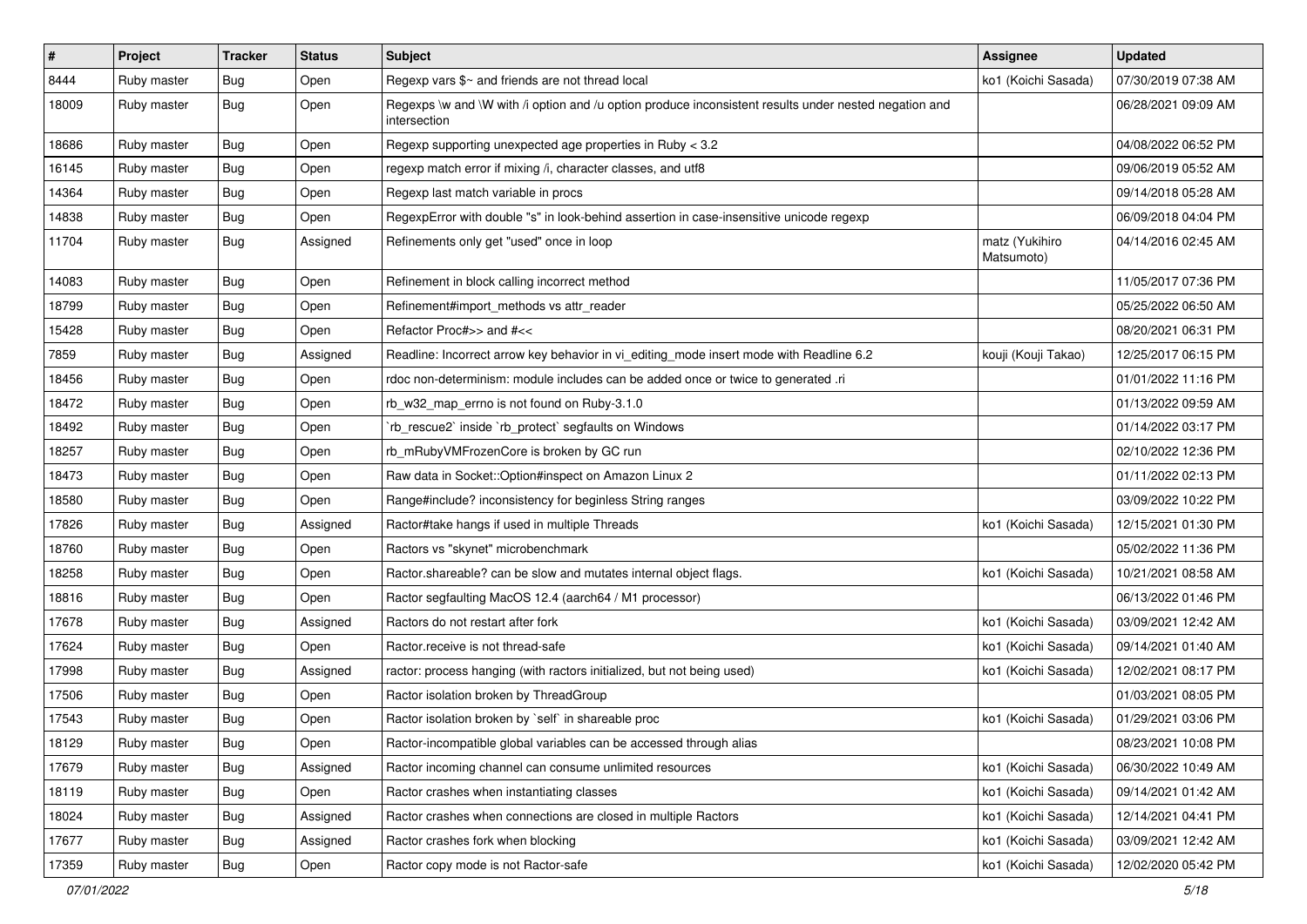| $\vert$ # | Project     | <b>Tracker</b> | <b>Status</b> | Subject                                                                                                               | Assignee                     | <b>Updated</b>      |
|-----------|-------------|----------------|---------------|-----------------------------------------------------------------------------------------------------------------------|------------------------------|---------------------|
| 8444      | Ruby master | <b>Bug</b>     | Open          | Regexp vars $\frac{6}{5}$ and friends are not thread local                                                            | ko1 (Koichi Sasada)          | 07/30/2019 07:38 AM |
| 18009     | Ruby master | Bug            | Open          | Regexps \w and \W with /i option and /u option produce inconsistent results under nested negation and<br>intersection |                              | 06/28/2021 09:09 AM |
| 18686     | Ruby master | Bug            | Open          | Regexp supporting unexpected age properties in Ruby < 3.2                                                             |                              | 04/08/2022 06:52 PM |
| 16145     | Ruby master | Bug            | Open          | regexp match error if mixing /i, character classes, and utf8                                                          |                              | 09/06/2019 05:52 AM |
| 14364     | Ruby master | Bug            | Open          | Regexp last match variable in procs                                                                                   |                              | 09/14/2018 05:28 AM |
| 14838     | Ruby master | <b>Bug</b>     | Open          | RegexpError with double "s" in look-behind assertion in case-insensitive unicode regexp                               |                              | 06/09/2018 04:04 PM |
| 11704     | Ruby master | <b>Bug</b>     | Assigned      | Refinements only get "used" once in loop                                                                              | matz (Yukihiro<br>Matsumoto) | 04/14/2016 02:45 AM |
| 14083     | Ruby master | Bug            | Open          | Refinement in block calling incorrect method                                                                          |                              | 11/05/2017 07:36 PM |
| 18799     | Ruby master | <b>Bug</b>     | Open          | Refinement#import_methods vs attr_reader                                                                              |                              | 05/25/2022 06:50 AM |
| 15428     | Ruby master | <b>Bug</b>     | Open          | Refactor Proc#>> and #<<                                                                                              |                              | 08/20/2021 06:31 PM |
| 7859      | Ruby master | <b>Bug</b>     | Assigned      | Readline: Incorrect arrow key behavior in vi_editing_mode insert mode with Readline 6.2                               | kouji (Kouji Takao)          | 12/25/2017 06:15 PM |
| 18456     | Ruby master | <b>Bug</b>     | Open          | rdoc non-determinism: module includes can be added once or twice to generated .ri                                     |                              | 01/01/2022 11:16 PM |
| 18472     | Ruby master | Bug            | Open          | rb_w32_map_errno is not found on Ruby-3.1.0                                                                           |                              | 01/13/2022 09:59 AM |
| 18492     | Ruby master | <b>Bug</b>     | Open          | 'rb rescue2' inside 'rb protect' segfaults on Windows                                                                 |                              | 01/14/2022 03:17 PM |
| 18257     | Ruby master | Bug            | Open          | rb_mRubyVMFrozenCore is broken by GC run                                                                              |                              | 02/10/2022 12:36 PM |
| 18473     | Ruby master | <b>Bug</b>     | Open          | Raw data in Socket::Option#inspect on Amazon Linux 2                                                                  |                              | 01/11/2022 02:13 PM |
| 18580     | Ruby master | Bug            | Open          | Range#include? inconsistency for beginless String ranges                                                              |                              | 03/09/2022 10:22 PM |
| 17826     | Ruby master | <b>Bug</b>     | Assigned      | Ractor#take hangs if used in multiple Threads                                                                         | ko1 (Koichi Sasada)          | 12/15/2021 01:30 PM |
| 18760     | Ruby master | <b>Bug</b>     | Open          | Ractors vs "skynet" microbenchmark                                                                                    |                              | 05/02/2022 11:36 PM |
| 18258     | Ruby master | <b>Bug</b>     | Open          | Ractor shareable? can be slow and mutates internal object flags.                                                      | ko1 (Koichi Sasada)          | 10/21/2021 08:58 AM |
| 18816     | Ruby master | <b>Bug</b>     | Open          | Ractor segfaulting MacOS 12.4 (aarch64 / M1 processor)                                                                |                              | 06/13/2022 01:46 PM |
| 17678     | Ruby master | <b>Bug</b>     | Assigned      | Ractors do not restart after fork                                                                                     | ko1 (Koichi Sasada)          | 03/09/2021 12:42 AM |
| 17624     | Ruby master | Bug            | Open          | Ractor.receive is not thread-safe                                                                                     | ko1 (Koichi Sasada)          | 09/14/2021 01:40 AM |
| 17998     | Ruby master | <b>Bug</b>     | Assigned      | ractor: process hanging (with ractors initialized, but not being used)                                                | ko1 (Koichi Sasada)          | 12/02/2021 08:17 PM |
| 17506     | Ruby master | <b>Bug</b>     | Open          | Ractor isolation broken by ThreadGroup                                                                                |                              | 01/03/2021 08:05 PM |
| 17543     | Ruby master | <b>Bug</b>     | Open          | Ractor isolation broken by `self` in shareable proc                                                                   | ko1 (Koichi Sasada)          | 01/29/2021 03:06 PM |
| 18129     | Ruby master | Bug            | Open          | Ractor-incompatible global variables can be accessed through alias                                                    |                              | 08/23/2021 10:08 PM |
| 17679     | Ruby master | <b>Bug</b>     | Assigned      | Ractor incoming channel can consume unlimited resources                                                               | ko1 (Koichi Sasada)          | 06/30/2022 10:49 AM |
| 18119     | Ruby master | Bug            | Open          | Ractor crashes when instantiating classes                                                                             | ko1 (Koichi Sasada)          | 09/14/2021 01:42 AM |
| 18024     | Ruby master | Bug            | Assigned      | Ractor crashes when connections are closed in multiple Ractors                                                        | ko1 (Koichi Sasada)          | 12/14/2021 04:41 PM |
| 17677     | Ruby master | <b>Bug</b>     | Assigned      | Ractor crashes fork when blocking                                                                                     | ko1 (Koichi Sasada)          | 03/09/2021 12:42 AM |
| 17359     | Ruby master | <b>Bug</b>     | Open          | Ractor copy mode is not Ractor-safe                                                                                   | ko1 (Koichi Sasada)          | 12/02/2020 05:42 PM |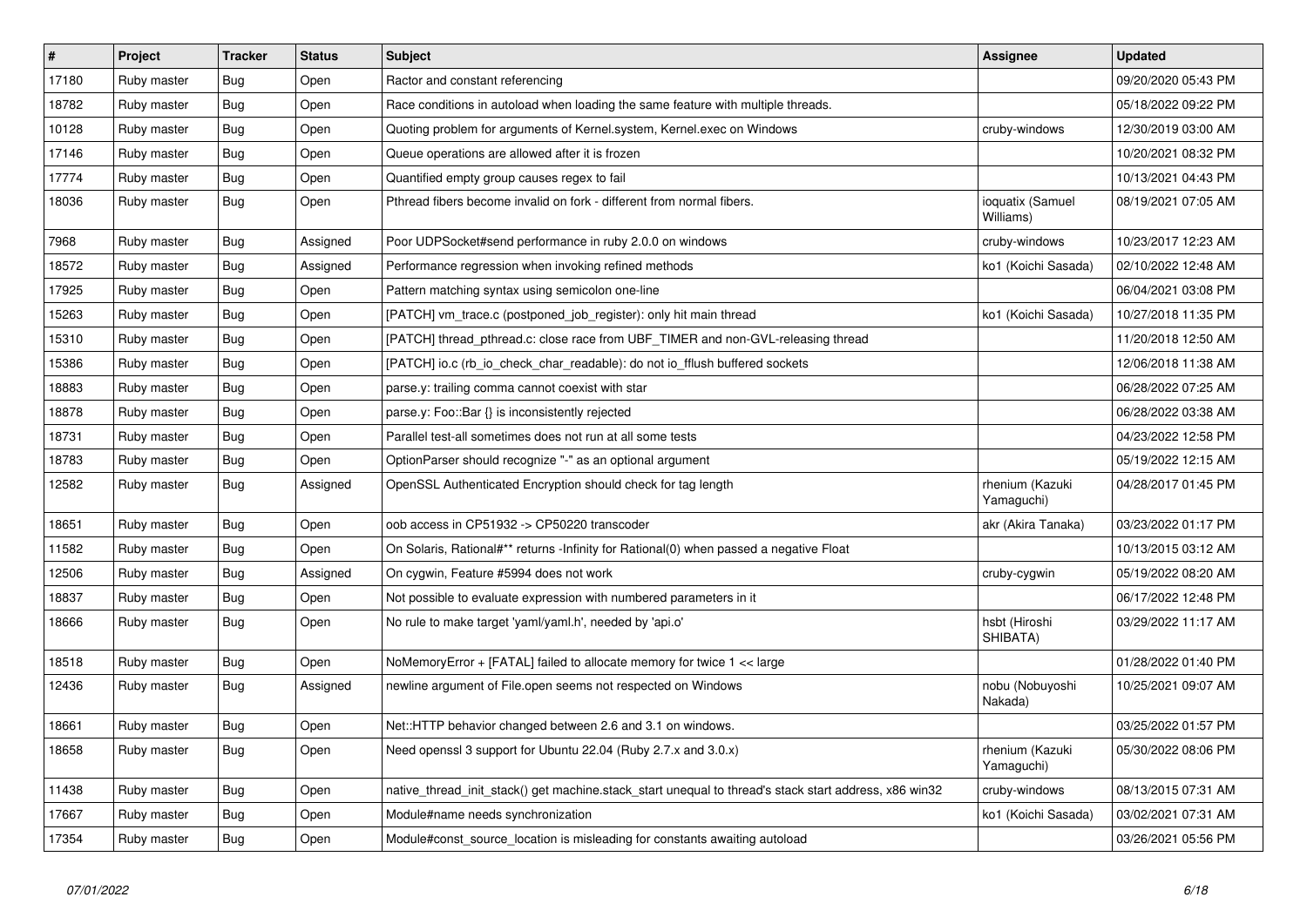| $\vert$ # | Project     | <b>Tracker</b> | <b>Status</b> | <b>Subject</b>                                                                                        | <b>Assignee</b>               | <b>Updated</b>      |
|-----------|-------------|----------------|---------------|-------------------------------------------------------------------------------------------------------|-------------------------------|---------------------|
| 17180     | Ruby master | <b>Bug</b>     | Open          | Ractor and constant referencing                                                                       |                               | 09/20/2020 05:43 PM |
| 18782     | Ruby master | Bug            | Open          | Race conditions in autoload when loading the same feature with multiple threads.                      |                               | 05/18/2022 09:22 PM |
| 10128     | Ruby master | <b>Bug</b>     | Open          | Quoting problem for arguments of Kernel.system, Kernel.exec on Windows                                | cruby-windows                 | 12/30/2019 03:00 AM |
| 17146     | Ruby master | <b>Bug</b>     | Open          | Queue operations are allowed after it is frozen                                                       |                               | 10/20/2021 08:32 PM |
| 17774     | Ruby master | <b>Bug</b>     | Open          | Quantified empty group causes regex to fail                                                           |                               | 10/13/2021 04:43 PM |
| 18036     | Ruby master | <b>Bug</b>     | Open          | Pthread fibers become invalid on fork - different from normal fibers.                                 | ioquatix (Samuel<br>Williams) | 08/19/2021 07:05 AM |
| 7968      | Ruby master | <b>Bug</b>     | Assigned      | Poor UDPSocket#send performance in ruby 2.0.0 on windows                                              | cruby-windows                 | 10/23/2017 12:23 AM |
| 18572     | Ruby master | <b>Bug</b>     | Assigned      | Performance regression when invoking refined methods                                                  | ko1 (Koichi Sasada)           | 02/10/2022 12:48 AM |
| 17925     | Ruby master | Bug            | Open          | Pattern matching syntax using semicolon one-line                                                      |                               | 06/04/2021 03:08 PM |
| 15263     | Ruby master | <b>Bug</b>     | Open          | [PATCH] vm_trace.c (postponed_job_register): only hit main thread                                     | ko1 (Koichi Sasada)           | 10/27/2018 11:35 PM |
| 15310     | Ruby master | <b>Bug</b>     | Open          | [PATCH] thread_pthread.c: close race from UBF_TIMER and non-GVL-releasing thread                      |                               | 11/20/2018 12:50 AM |
| 15386     | Ruby master | <b>Bug</b>     | Open          | [PATCH] io.c (rb_io_check_char_readable): do not io_fflush buffered sockets                           |                               | 12/06/2018 11:38 AM |
| 18883     | Ruby master | <b>Bug</b>     | Open          | parse.y: trailing comma cannot coexist with star                                                      |                               | 06/28/2022 07:25 AM |
| 18878     | Ruby master | <b>Bug</b>     | Open          | parse.y: Foo::Bar {} is inconsistently rejected                                                       |                               | 06/28/2022 03:38 AM |
| 18731     | Ruby master | <b>Bug</b>     | Open          | Parallel test-all sometimes does not run at all some tests                                            |                               | 04/23/2022 12:58 PM |
| 18783     | Ruby master | <b>Bug</b>     | Open          | OptionParser should recognize "-" as an optional argument                                             |                               | 05/19/2022 12:15 AM |
| 12582     | Ruby master | <b>Bug</b>     | Assigned      | OpenSSL Authenticated Encryption should check for tag length                                          | rhenium (Kazuki<br>Yamaguchi) | 04/28/2017 01:45 PM |
| 18651     | Ruby master | <b>Bug</b>     | Open          | oob access in CP51932 -> CP50220 transcoder                                                           | akr (Akira Tanaka)            | 03/23/2022 01:17 PM |
| 11582     | Ruby master | <b>Bug</b>     | Open          | On Solaris, Rational#** returns -Infinity for Rational(0) when passed a negative Float                |                               | 10/13/2015 03:12 AM |
| 12506     | Ruby master | Bug            | Assigned      | On cygwin, Feature #5994 does not work                                                                | cruby-cygwin                  | 05/19/2022 08:20 AM |
| 18837     | Ruby master | Bug            | Open          | Not possible to evaluate expression with numbered parameters in it                                    |                               | 06/17/2022 12:48 PM |
| 18666     | Ruby master | <b>Bug</b>     | Open          | No rule to make target 'yaml/yaml.h', needed by 'api.o'                                               | hsbt (Hiroshi<br>SHIBATA)     | 03/29/2022 11:17 AM |
| 18518     | Ruby master | Bug            | Open          | NoMemoryError + [FATAL] failed to allocate memory for twice 1 << large                                |                               | 01/28/2022 01:40 PM |
| 12436     | Ruby master | Bug            | Assigned      | newline argument of File.open seems not respected on Windows                                          | nobu (Nobuyoshi<br>Nakada)    | 10/25/2021 09:07 AM |
| 18661     | Ruby master | <b>Bug</b>     | Open          | Net::HTTP behavior changed between 2.6 and 3.1 on windows.                                            |                               | 03/25/2022 01:57 PM |
| 18658     | Ruby master | Bug            | Open          | Need openssl 3 support for Ubuntu 22.04 (Ruby 2.7.x and 3.0.x)                                        | rhenium (Kazuki<br>Yamaguchi) | 05/30/2022 08:06 PM |
| 11438     | Ruby master | <b>Bug</b>     | Open          | native_thread_init_stack() get machine.stack_start unequal to thread's stack start address, x86 win32 | cruby-windows                 | 08/13/2015 07:31 AM |
| 17667     | Ruby master | <b>Bug</b>     | Open          | Module#name needs synchronization                                                                     | ko1 (Koichi Sasada)           | 03/02/2021 07:31 AM |
| 17354     | Ruby master | <b>Bug</b>     | Open          | Module#const source location is misleading for constants awaiting autoload                            |                               | 03/26/2021 05:56 PM |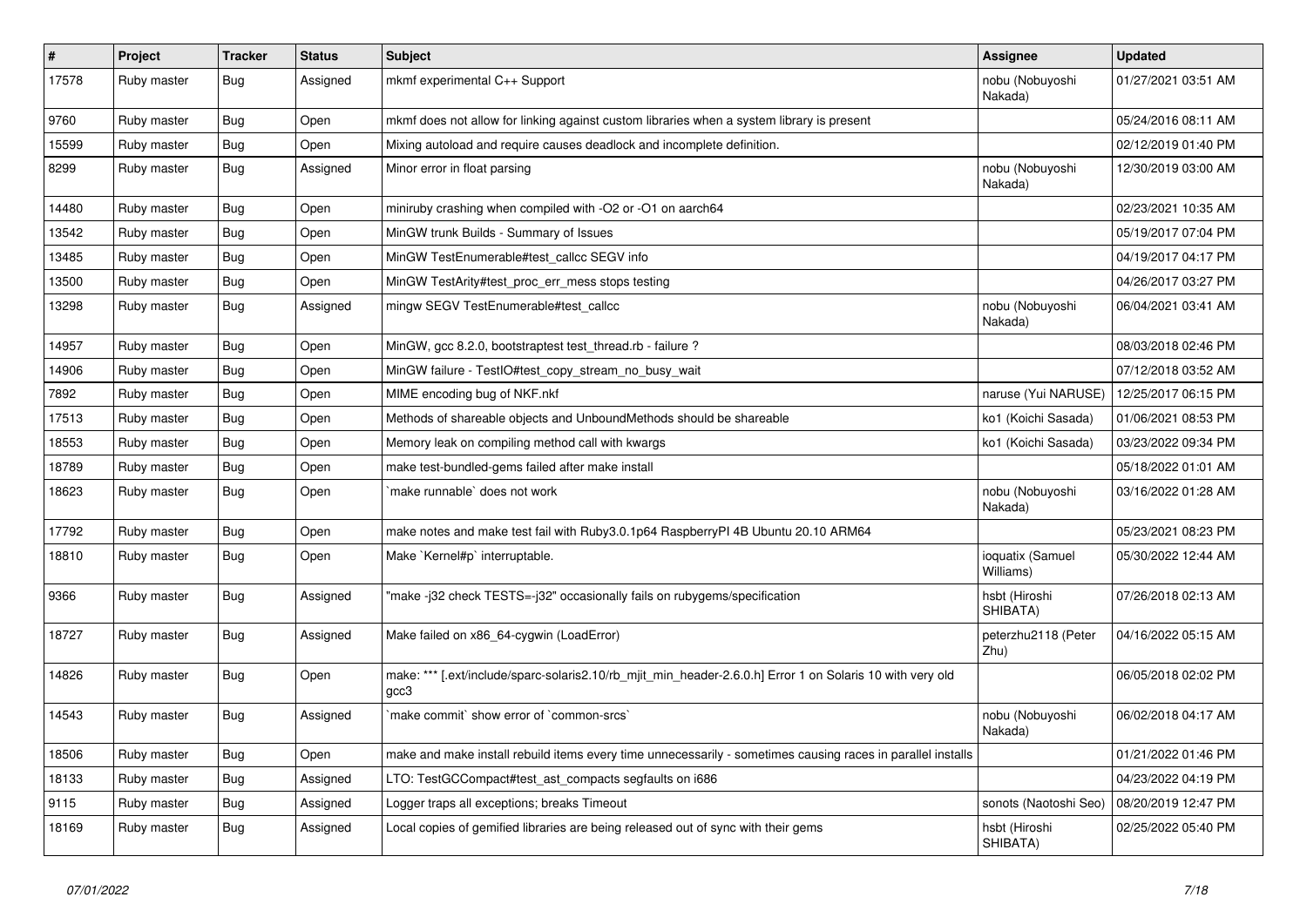| $\sharp$ | Project     | <b>Tracker</b> | <b>Status</b> | <b>Subject</b>                                                                                                    | Assignee                      | <b>Updated</b>      |
|----------|-------------|----------------|---------------|-------------------------------------------------------------------------------------------------------------------|-------------------------------|---------------------|
| 17578    | Ruby master | <b>Bug</b>     | Assigned      | mkmf experimental C++ Support                                                                                     | nobu (Nobuyoshi<br>Nakada)    | 01/27/2021 03:51 AM |
| 9760     | Ruby master | Bug            | Open          | mkmf does not allow for linking against custom libraries when a system library is present                         |                               | 05/24/2016 08:11 AM |
| 15599    | Ruby master | <b>Bug</b>     | Open          | Mixing autoload and require causes deadlock and incomplete definition.                                            |                               | 02/12/2019 01:40 PM |
| 8299     | Ruby master | Bug            | Assigned      | Minor error in float parsing                                                                                      | nobu (Nobuyoshi<br>Nakada)    | 12/30/2019 03:00 AM |
| 14480    | Ruby master | <b>Bug</b>     | Open          | miniruby crashing when compiled with -O2 or -O1 on aarch64                                                        |                               | 02/23/2021 10:35 AM |
| 13542    | Ruby master | <b>Bug</b>     | Open          | MinGW trunk Builds - Summary of Issues                                                                            |                               | 05/19/2017 07:04 PM |
| 13485    | Ruby master | <b>Bug</b>     | Open          | MinGW TestEnumerable#test callcc SEGV info                                                                        |                               | 04/19/2017 04:17 PM |
| 13500    | Ruby master | <b>Bug</b>     | Open          | MinGW TestArity#test_proc_err_mess stops testing                                                                  |                               | 04/26/2017 03:27 PM |
| 13298    | Ruby master | <b>Bug</b>     | Assigned      | mingw SEGV TestEnumerable#test callcc                                                                             | nobu (Nobuyoshi<br>Nakada)    | 06/04/2021 03:41 AM |
| 14957    | Ruby master | <b>Bug</b>     | Open          | MinGW, gcc 8.2.0, bootstraptest test_thread.rb - failure ?                                                        |                               | 08/03/2018 02:46 PM |
| 14906    | Ruby master | <b>Bug</b>     | Open          | MinGW failure - TestlO#test_copy_stream_no_busy_wait                                                              |                               | 07/12/2018 03:52 AM |
| 7892     | Ruby master | <b>Bug</b>     | Open          | MIME encoding bug of NKF.nkf                                                                                      | naruse (Yui NARUSE)           | 12/25/2017 06:15 PM |
| 17513    | Ruby master | Bug            | Open          | Methods of shareable objects and UnboundMethods should be shareable                                               | ko1 (Koichi Sasada)           | 01/06/2021 08:53 PM |
| 18553    | Ruby master | <b>Bug</b>     | Open          | Memory leak on compiling method call with kwargs                                                                  | ko1 (Koichi Sasada)           | 03/23/2022 09:34 PM |
| 18789    | Ruby master | <b>Bug</b>     | Open          | make test-bundled-gems failed after make install                                                                  |                               | 05/18/2022 01:01 AM |
| 18623    | Ruby master | Bug            | Open          | make runnable' does not work                                                                                      | nobu (Nobuyoshi<br>Nakada)    | 03/16/2022 01:28 AM |
| 17792    | Ruby master | Bug            | Open          | make notes and make test fail with Ruby3.0.1p64 RaspberryPl 4B Ubuntu 20.10 ARM64                                 |                               | 05/23/2021 08:23 PM |
| 18810    | Ruby master | <b>Bug</b>     | Open          | Make `Kernel#p` interruptable.                                                                                    | ioquatix (Samuel<br>Williams) | 05/30/2022 12:44 AM |
| 9366     | Ruby master | Bug            | Assigned      | "make -j32 check TESTS=-j32" occasionally fails on rubygems/specification                                         | hsbt (Hiroshi<br>SHIBATA)     | 07/26/2018 02:13 AM |
| 18727    | Ruby master | <b>Bug</b>     | Assigned      | Make failed on x86_64-cygwin (LoadError)                                                                          | peterzhu2118 (Peter<br>Zhu)   | 04/16/2022 05:15 AM |
| 14826    | Ruby master | <b>Bug</b>     | Open          | make: *** [.ext/include/sparc-solaris2.10/rb_mjit_min_header-2.6.0.h] Error 1 on Solaris 10 with very old<br>gcc3 |                               | 06/05/2018 02:02 PM |
| 14543    | Ruby master | Bug            | Assigned      | make commit` show error of `common-srcs`                                                                          | nobu (Nobuyoshi<br>Nakada)    | 06/02/2018 04:17 AM |
| 18506    | Ruby master | <b>Bug</b>     | Open          | make and make install rebuild items every time unnecessarily - sometimes causing races in parallel installs       |                               | 01/21/2022 01:46 PM |
| 18133    | Ruby master | <b>Bug</b>     | Assigned      | LTO: TestGCCompact#test_ast_compacts segfaults on i686                                                            |                               | 04/23/2022 04:19 PM |
| 9115     | Ruby master | Bug            | Assigned      | Logger traps all exceptions; breaks Timeout                                                                       | sonots (Naotoshi Seo)         | 08/20/2019 12:47 PM |
| 18169    | Ruby master | <b>Bug</b>     | Assigned      | Local copies of gemified libraries are being released out of sync with their gems                                 | hsbt (Hiroshi<br>SHIBATA)     | 02/25/2022 05:40 PM |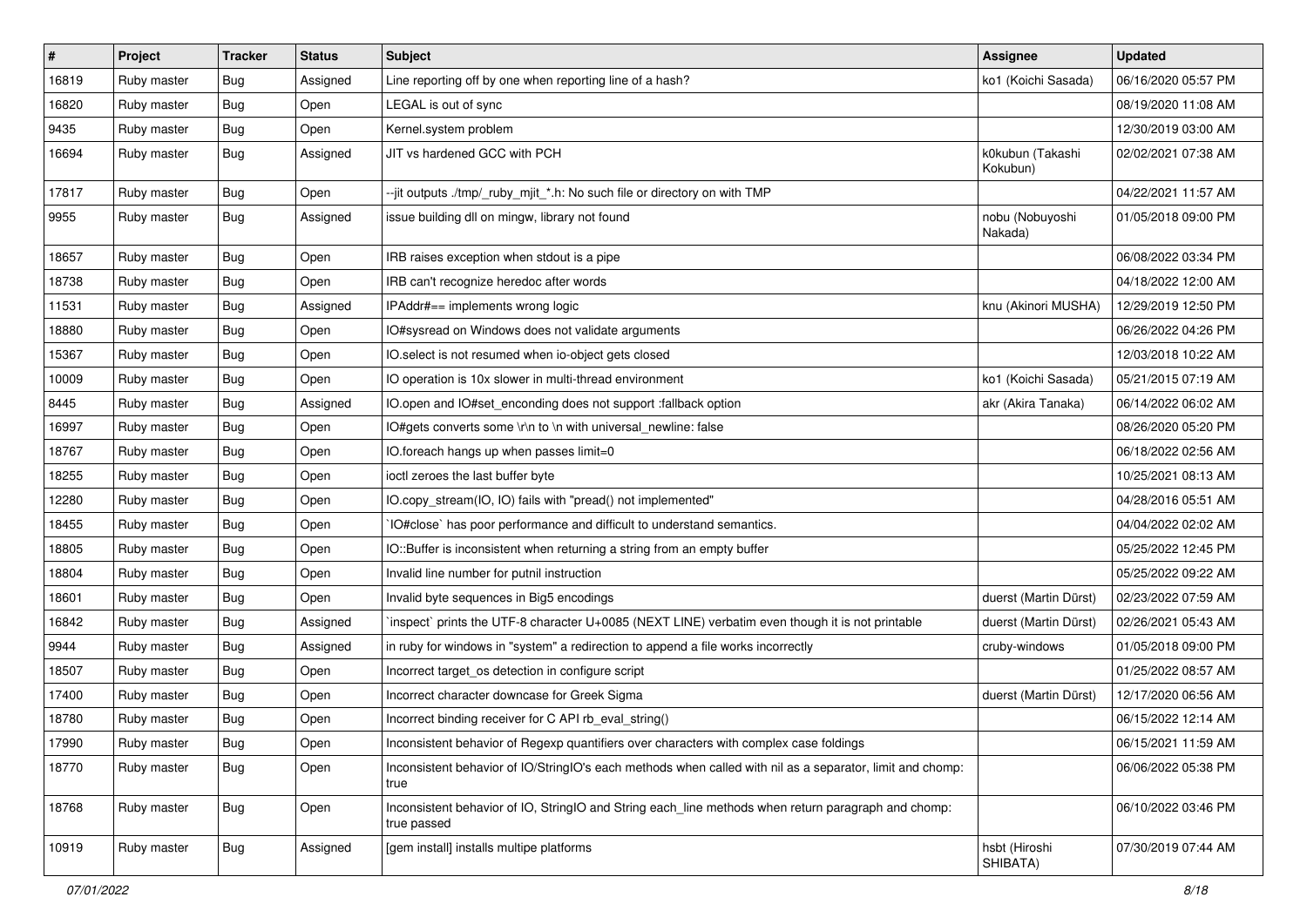| $\sharp$ | Project     | <b>Tracker</b> | <b>Status</b> | Subject                                                                                                            | <b>Assignee</b>              | <b>Updated</b>      |
|----------|-------------|----------------|---------------|--------------------------------------------------------------------------------------------------------------------|------------------------------|---------------------|
| 16819    | Ruby master | Bug            | Assigned      | Line reporting off by one when reporting line of a hash?                                                           | ko1 (Koichi Sasada)          | 06/16/2020 05:57 PM |
| 16820    | Ruby master | <b>Bug</b>     | Open          | LEGAL is out of sync                                                                                               |                              | 08/19/2020 11:08 AM |
| 9435     | Ruby master | <b>Bug</b>     | Open          | Kernel.system problem                                                                                              |                              | 12/30/2019 03:00 AM |
| 16694    | Ruby master | Bug            | Assigned      | JIT vs hardened GCC with PCH                                                                                       | k0kubun (Takashi<br>Kokubun) | 02/02/2021 07:38 AM |
| 17817    | Ruby master | <b>Bug</b>     | Open          | --jit outputs ./tmp/_ruby_mjit_*.h: No such file or directory on with TMP                                          |                              | 04/22/2021 11:57 AM |
| 9955     | Ruby master | <b>Bug</b>     | Assigned      | issue building dll on mingw, library not found                                                                     | nobu (Nobuyoshi<br>Nakada)   | 01/05/2018 09:00 PM |
| 18657    | Ruby master | Bug            | Open          | IRB raises exception when stdout is a pipe                                                                         |                              | 06/08/2022 03:34 PM |
| 18738    | Ruby master | <b>Bug</b>     | Open          | IRB can't recognize heredoc after words                                                                            |                              | 04/18/2022 12:00 AM |
| 11531    | Ruby master | Bug            | Assigned      | IPAddr#== implements wrong logic                                                                                   | knu (Akinori MUSHA)          | 12/29/2019 12:50 PM |
| 18880    | Ruby master | <b>Bug</b>     | Open          | IO#sysread on Windows does not validate arguments                                                                  |                              | 06/26/2022 04:26 PM |
| 15367    | Ruby master | <b>Bug</b>     | Open          | IO.select is not resumed when io-object gets closed                                                                |                              | 12/03/2018 10:22 AM |
| 10009    | Ruby master | Bug            | Open          | IO operation is 10x slower in multi-thread environment                                                             | ko1 (Koichi Sasada)          | 05/21/2015 07:19 AM |
| 8445     | Ruby master | <b>Bug</b>     | Assigned      | IO.open and IO#set_enconding does not support :fallback option                                                     | akr (Akira Tanaka)           | 06/14/2022 06:02 AM |
| 16997    | Ruby master | Bug            | Open          | IO#gets converts some \r\n to \n with universal newline: false                                                     |                              | 08/26/2020 05:20 PM |
| 18767    | Ruby master | <b>Bug</b>     | Open          | IO.foreach hangs up when passes limit=0                                                                            |                              | 06/18/2022 02:56 AM |
| 18255    | Ruby master | <b>Bug</b>     | Open          | ioctl zeroes the last buffer byte                                                                                  |                              | 10/25/2021 08:13 AM |
| 12280    | Ruby master | <b>Bug</b>     | Open          | IO.copy_stream(IO, IO) fails with "pread() not implemented"                                                        |                              | 04/28/2016 05:51 AM |
| 18455    | Ruby master | <b>Bug</b>     | Open          | IO#close` has poor performance and difficult to understand semantics.                                              |                              | 04/04/2022 02:02 AM |
| 18805    | Ruby master | <b>Bug</b>     | Open          | IO::Buffer is inconsistent when returning a string from an empty buffer                                            |                              | 05/25/2022 12:45 PM |
| 18804    | Ruby master | Bug            | Open          | Invalid line number for putnil instruction                                                                         |                              | 05/25/2022 09:22 AM |
| 18601    | Ruby master | <b>Bug</b>     | Open          | Invalid byte sequences in Big5 encodings                                                                           | duerst (Martin Dürst)        | 02/23/2022 07:59 AM |
| 16842    | Ruby master | Bug            | Assigned      | inspect` prints the UTF-8 character U+0085 (NEXT LINE) verbatim even though it is not printable                    | duerst (Martin Dürst)        | 02/26/2021 05:43 AM |
| 9944     | Ruby master | <b>Bug</b>     | Assigned      | in ruby for windows in "system" a redirection to append a file works incorrectly                                   | cruby-windows                | 01/05/2018 09:00 PM |
| 18507    | Ruby master | <b>Bug</b>     | Open          | Incorrect target_os detection in configure script                                                                  |                              | 01/25/2022 08:57 AM |
| 17400    | Ruby master | Bug            | Open          | Incorrect character downcase for Greek Sigma                                                                       | duerst (Martin Dürst)        | 12/17/2020 06:56 AM |
| 18780    | Ruby master | Bug            | Open          | Incorrect binding receiver for C API rb_eval_string()                                                              |                              | 06/15/2022 12:14 AM |
| 17990    | Ruby master | <b>Bug</b>     | Open          | Inconsistent behavior of Regexp quantifiers over characters with complex case foldings                             |                              | 06/15/2021 11:59 AM |
| 18770    | Ruby master | <b>Bug</b>     | Open          | Inconsistent behavior of IO/StringIO's each methods when called with nil as a separator, limit and chomp:<br>true  |                              | 06/06/2022 05:38 PM |
| 18768    | Ruby master | <b>Bug</b>     | Open          | Inconsistent behavior of IO, StringIO and String each_line methods when return paragraph and chomp:<br>true passed |                              | 06/10/2022 03:46 PM |
| 10919    | Ruby master | <b>Bug</b>     | Assigned      | [gem install] installs multipe platforms                                                                           | hsbt (Hiroshi<br>SHIBATA)    | 07/30/2019 07:44 AM |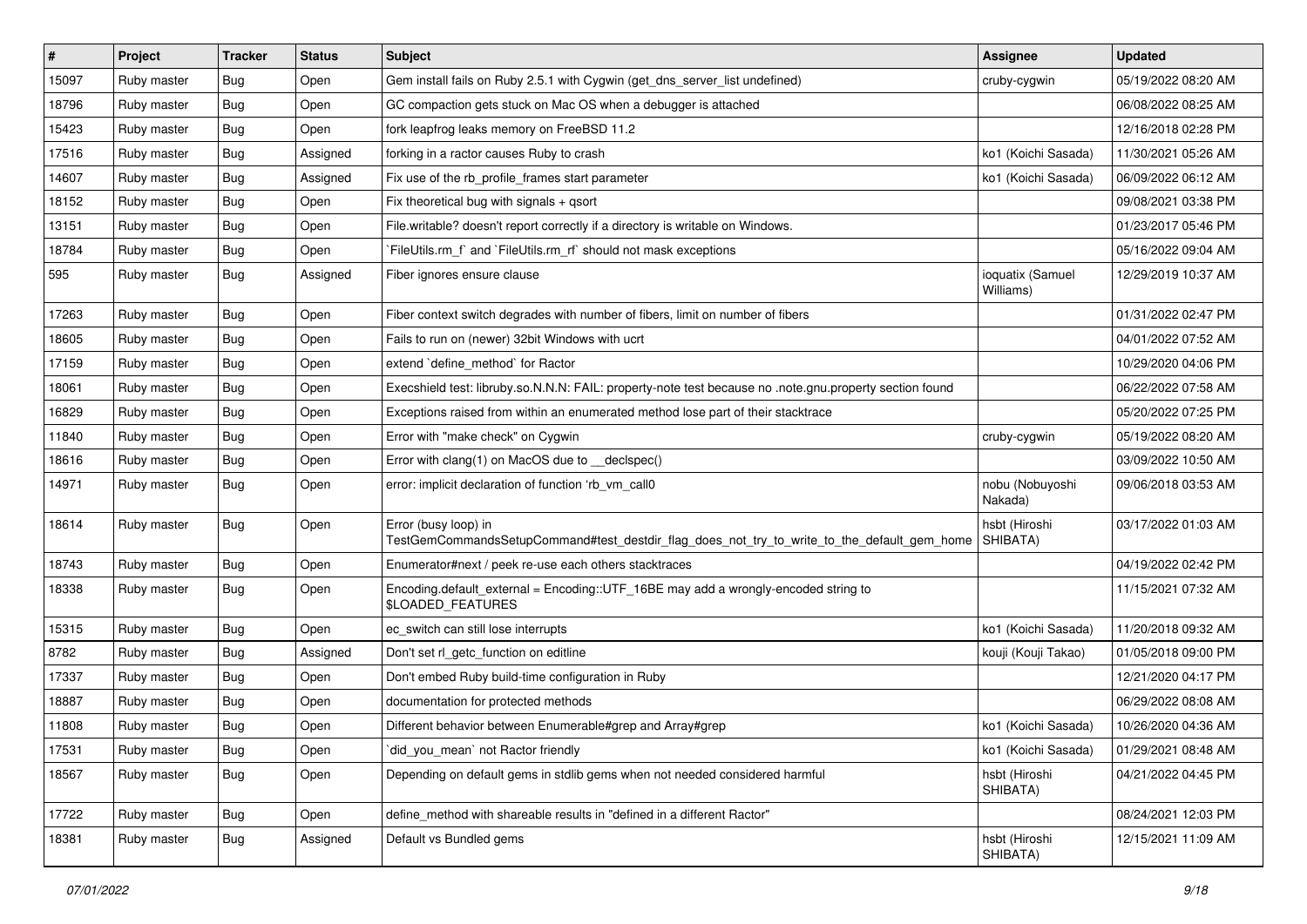| $\vert$ # | Project     | <b>Tracker</b> | <b>Status</b> | Subject                                                                                                             | Assignee                      | <b>Updated</b>      |
|-----------|-------------|----------------|---------------|---------------------------------------------------------------------------------------------------------------------|-------------------------------|---------------------|
| 15097     | Ruby master | <b>Bug</b>     | Open          | Gem install fails on Ruby 2.5.1 with Cygwin (get dns server list undefined)                                         | cruby-cygwin                  | 05/19/2022 08:20 AM |
| 18796     | Ruby master | <b>Bug</b>     | Open          | GC compaction gets stuck on Mac OS when a debugger is attached                                                      |                               | 06/08/2022 08:25 AM |
| 15423     | Ruby master | <b>Bug</b>     | Open          | fork leapfrog leaks memory on FreeBSD 11.2                                                                          |                               | 12/16/2018 02:28 PM |
| 17516     | Ruby master | <b>Bug</b>     | Assigned      | forking in a ractor causes Ruby to crash                                                                            | ko1 (Koichi Sasada)           | 11/30/2021 05:26 AM |
| 14607     | Ruby master | Bug            | Assigned      | Fix use of the rb_profile_frames start parameter                                                                    | ko1 (Koichi Sasada)           | 06/09/2022 06:12 AM |
| 18152     | Ruby master | Bug            | Open          | Fix theoretical bug with signals + qsort                                                                            |                               | 09/08/2021 03:38 PM |
| 13151     | Ruby master | <b>Bug</b>     | Open          | File.writable? doesn't report correctly if a directory is writable on Windows.                                      |                               | 01/23/2017 05:46 PM |
| 18784     | Ruby master | <b>Bug</b>     | Open          | `FileUtils.rm_f` and `FileUtils.rm_rf` should not mask exceptions                                                   |                               | 05/16/2022 09:04 AM |
| 595       | Ruby master | <b>Bug</b>     | Assigned      | Fiber ignores ensure clause                                                                                         | ioquatix (Samuel<br>Williams) | 12/29/2019 10:37 AM |
| 17263     | Ruby master | <b>Bug</b>     | Open          | Fiber context switch degrades with number of fibers, limit on number of fibers                                      |                               | 01/31/2022 02:47 PM |
| 18605     | Ruby master | <b>Bug</b>     | Open          | Fails to run on (newer) 32bit Windows with ucrt                                                                     |                               | 04/01/2022 07:52 AM |
| 17159     | Ruby master | <b>Bug</b>     | Open          | extend `define method` for Ractor                                                                                   |                               | 10/29/2020 04:06 PM |
| 18061     | Ruby master | <b>Bug</b>     | Open          | Execshield test: libruby.so.N.N.N: FAIL: property-note test because no .note.gnu.property section found             |                               | 06/22/2022 07:58 AM |
| 16829     | Ruby master | <b>Bug</b>     | Open          | Exceptions raised from within an enumerated method lose part of their stacktrace                                    |                               | 05/20/2022 07:25 PM |
| 11840     | Ruby master | <b>Bug</b>     | Open          | Error with "make check" on Cygwin                                                                                   | cruby-cygwin                  | 05/19/2022 08:20 AM |
| 18616     | Ruby master | <b>Bug</b>     | Open          | Error with clang(1) on MacOS due to __declspec()                                                                    |                               | 03/09/2022 10:50 AM |
| 14971     | Ruby master | <b>Bug</b>     | Open          | error: implicit declaration of function 'rb vm call0                                                                | nobu (Nobuyoshi<br>Nakada)    | 09/06/2018 03:53 AM |
| 18614     | Ruby master | Bug            | Open          | Error (busy loop) in<br>TestGemCommandsSetupCommand#test_destdir_flag_does_not_try_to_write_to_the_default_gem_home | hsbt (Hiroshi<br>SHIBATA)     | 03/17/2022 01:03 AM |
| 18743     | Ruby master | <b>Bug</b>     | Open          | Enumerator#next / peek re-use each others stacktraces                                                               |                               | 04/19/2022 02:42 PM |
| 18338     | Ruby master | <b>Bug</b>     | Open          | Encoding.default_external = Encoding::UTF_16BE may add a wrongly-encoded string to<br>\$LOADED_FEATURES             |                               | 11/15/2021 07:32 AM |
| 15315     | Ruby master | <b>Bug</b>     | Open          | ec_switch can still lose interrupts                                                                                 | ko1 (Koichi Sasada)           | 11/20/2018 09:32 AM |
| 8782      | Ruby master | <b>Bug</b>     | Assigned      | Don't set rl_getc_function on editline                                                                              | kouji (Kouji Takao)           | 01/05/2018 09:00 PM |
| 17337     | Ruby master | <b>Bug</b>     | Open          | Don't embed Ruby build-time configuration in Ruby                                                                   |                               | 12/21/2020 04:17 PM |
| 18887     | Ruby master | Bug            | Open          | documentation for protected methods                                                                                 |                               | 06/29/2022 08:08 AM |
| 11808     | Ruby master | <b>Bug</b>     | Open          | Different behavior between Enumerable#grep and Array#grep                                                           | ko1 (Koichi Sasada)           | 10/26/2020 04:36 AM |
| 17531     | Ruby master | <b>Bug</b>     | Open          | did you mean' not Ractor friendly                                                                                   | ko1 (Koichi Sasada)           | 01/29/2021 08:48 AM |
| 18567     | Ruby master | <b>Bug</b>     | Open          | Depending on default gems in stdlib gems when not needed considered harmful                                         | hsbt (Hiroshi<br>SHIBATA)     | 04/21/2022 04:45 PM |
| 17722     | Ruby master | <b>Bug</b>     | Open          | define_method with shareable results in "defined in a different Ractor"                                             |                               | 08/24/2021 12:03 PM |
| 18381     | Ruby master | <b>Bug</b>     | Assigned      | Default vs Bundled gems                                                                                             | hsbt (Hiroshi<br>SHIBATA)     | 12/15/2021 11:09 AM |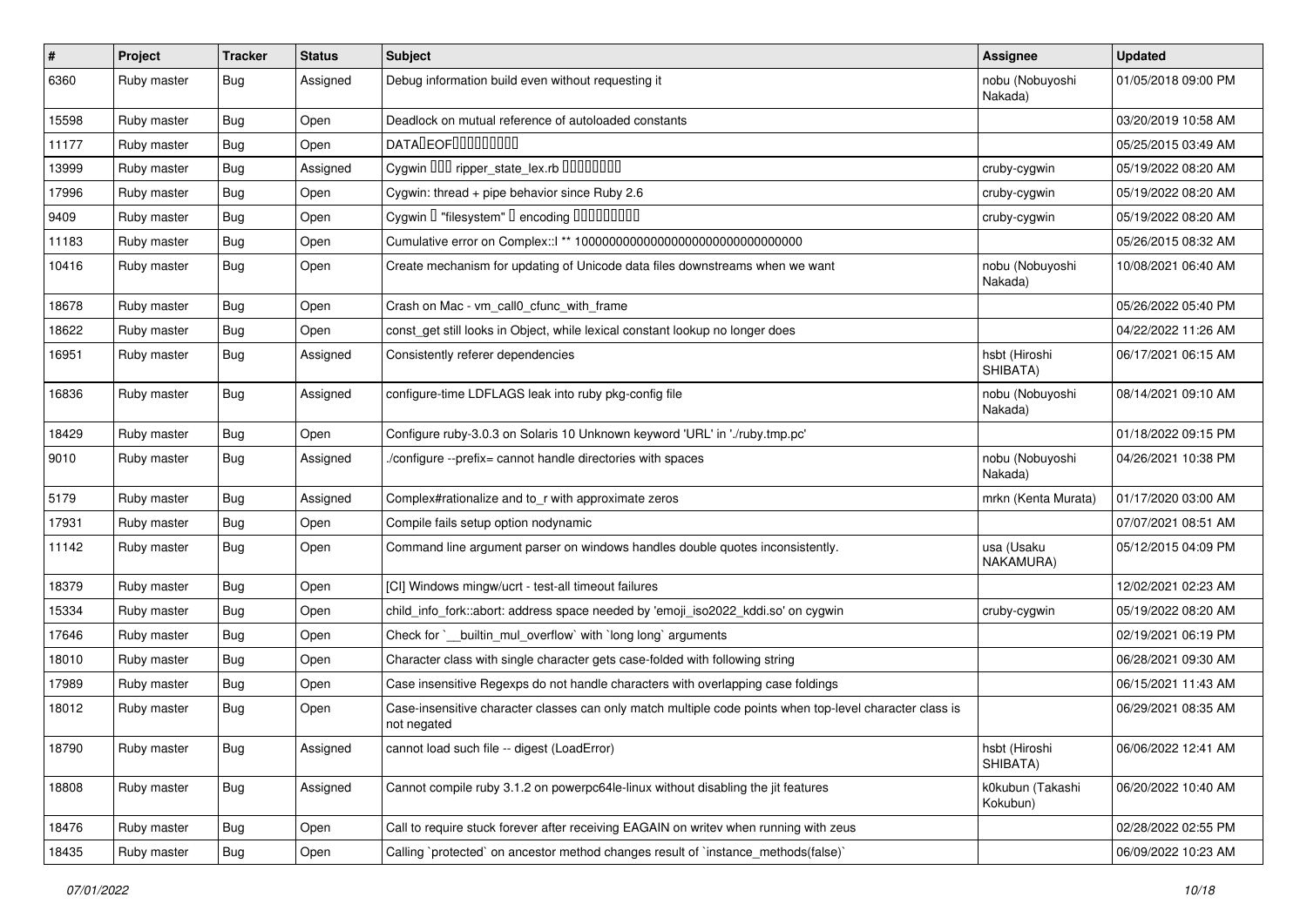| #     | Project     | <b>Tracker</b> | <b>Status</b> | Subject                                                                                                                 | <b>Assignee</b>              | <b>Updated</b>      |
|-------|-------------|----------------|---------------|-------------------------------------------------------------------------------------------------------------------------|------------------------------|---------------------|
| 6360  | Ruby master | <b>Bug</b>     | Assigned      | Debug information build even without requesting it                                                                      | nobu (Nobuyoshi<br>Nakada)   | 01/05/2018 09:00 PM |
| 15598 | Ruby master | Bug            | Open          | Deadlock on mutual reference of autoloaded constants                                                                    |                              | 03/20/2019 10:58 AM |
| 11177 | Ruby master | <b>Bug</b>     | Open          | <b>DATALEOFILILILILILI</b>                                                                                              |                              | 05/25/2015 03:49 AM |
| 13999 | Ruby master | <b>Bug</b>     | Assigned      | Cygwin 000 ripper_state_lex.rb 00000000                                                                                 | cruby-cygwin                 | 05/19/2022 08:20 AM |
| 17996 | Ruby master | <b>Bug</b>     | Open          | Cygwin: thread + pipe behavior since Ruby 2.6                                                                           | cruby-cygwin                 | 05/19/2022 08:20 AM |
| 9409  | Ruby master | <b>Bug</b>     | Open          | Cygwin I "filesystem" I encoding IIIIIIIIIIIII                                                                          | cruby-cygwin                 | 05/19/2022 08:20 AM |
| 11183 | Ruby master | <b>Bug</b>     | Open          |                                                                                                                         |                              | 05/26/2015 08:32 AM |
| 10416 | Ruby master | <b>Bug</b>     | Open          | Create mechanism for updating of Unicode data files downstreams when we want                                            | nobu (Nobuyoshi<br>Nakada)   | 10/08/2021 06:40 AM |
| 18678 | Ruby master | Bug            | Open          | Crash on Mac - vm_call0_cfunc_with_frame                                                                                |                              | 05/26/2022 05:40 PM |
| 18622 | Ruby master | <b>Bug</b>     | Open          | const_get still looks in Object, while lexical constant lookup no longer does                                           |                              | 04/22/2022 11:26 AM |
| 16951 | Ruby master | Bug            | Assigned      | Consistently referer dependencies                                                                                       | hsbt (Hiroshi<br>SHIBATA)    | 06/17/2021 06:15 AM |
| 16836 | Ruby master | <b>Bug</b>     | Assigned      | configure-time LDFLAGS leak into ruby pkg-config file                                                                   | nobu (Nobuyoshi<br>Nakada)   | 08/14/2021 09:10 AM |
| 18429 | Ruby master | <b>Bug</b>     | Open          | Configure ruby-3.0.3 on Solaris 10 Unknown keyword 'URL' in './ruby.tmp.pc'                                             |                              | 01/18/2022 09:15 PM |
| 9010  | Ruby master | Bug            | Assigned      | /configure --prefix= cannot handle directories with spaces                                                              | nobu (Nobuyoshi<br>Nakada)   | 04/26/2021 10:38 PM |
| 5179  | Ruby master | <b>Bug</b>     | Assigned      | Complex#rationalize and to_r with approximate zeros                                                                     | mrkn (Kenta Murata)          | 01/17/2020 03:00 AM |
| 17931 | Ruby master | <b>Bug</b>     | Open          | Compile fails setup option nodynamic                                                                                    |                              | 07/07/2021 08:51 AM |
| 11142 | Ruby master | Bug            | Open          | Command line argument parser on windows handles double quotes inconsistently.                                           | usa (Usaku<br>NAKAMURA)      | 05/12/2015 04:09 PM |
| 18379 | Ruby master | <b>Bug</b>     | Open          | [CI] Windows mingw/ucrt - test-all timeout failures                                                                     |                              | 12/02/2021 02:23 AM |
| 15334 | Ruby master | <b>Bug</b>     | Open          | child_info_fork::abort: address space needed by 'emoji_iso2022_kddi.so' on cygwin                                       | cruby-cygwin                 | 05/19/2022 08:20 AM |
| 17646 | Ruby master | Bug            | Open          | Check for `__builtin_mul_overflow` with `long long` arguments                                                           |                              | 02/19/2021 06:19 PM |
| 18010 | Ruby master | <b>Bug</b>     | Open          | Character class with single character gets case-folded with following string                                            |                              | 06/28/2021 09:30 AM |
| 17989 | Ruby master | <b>Bug</b>     | Open          | Case insensitive Regexps do not handle characters with overlapping case foldings                                        |                              | 06/15/2021 11:43 AM |
| 18012 | Ruby master | <b>Bug</b>     | Open          | Case-insensitive character classes can only match multiple code points when top-level character class is<br>not negated |                              | 06/29/2021 08:35 AM |
| 18790 | Ruby master | Bug            | Assigned      | cannot load such file -- digest (LoadError)                                                                             | hsbt (Hiroshi<br>SHIBATA)    | 06/06/2022 12:41 AM |
| 18808 | Ruby master | Bug            | Assigned      | Cannot compile ruby 3.1.2 on powerpc64le-linux without disabling the jit features                                       | k0kubun (Takashi<br>Kokubun) | 06/20/2022 10:40 AM |
| 18476 | Ruby master | <b>Bug</b>     | Open          | Call to require stuck forever after receiving EAGAIN on writev when running with zeus                                   |                              | 02/28/2022 02:55 PM |
| 18435 | Ruby master | Bug            | Open          | Calling `protected` on ancestor method changes result of `instance_methods(false)`                                      |                              | 06/09/2022 10:23 AM |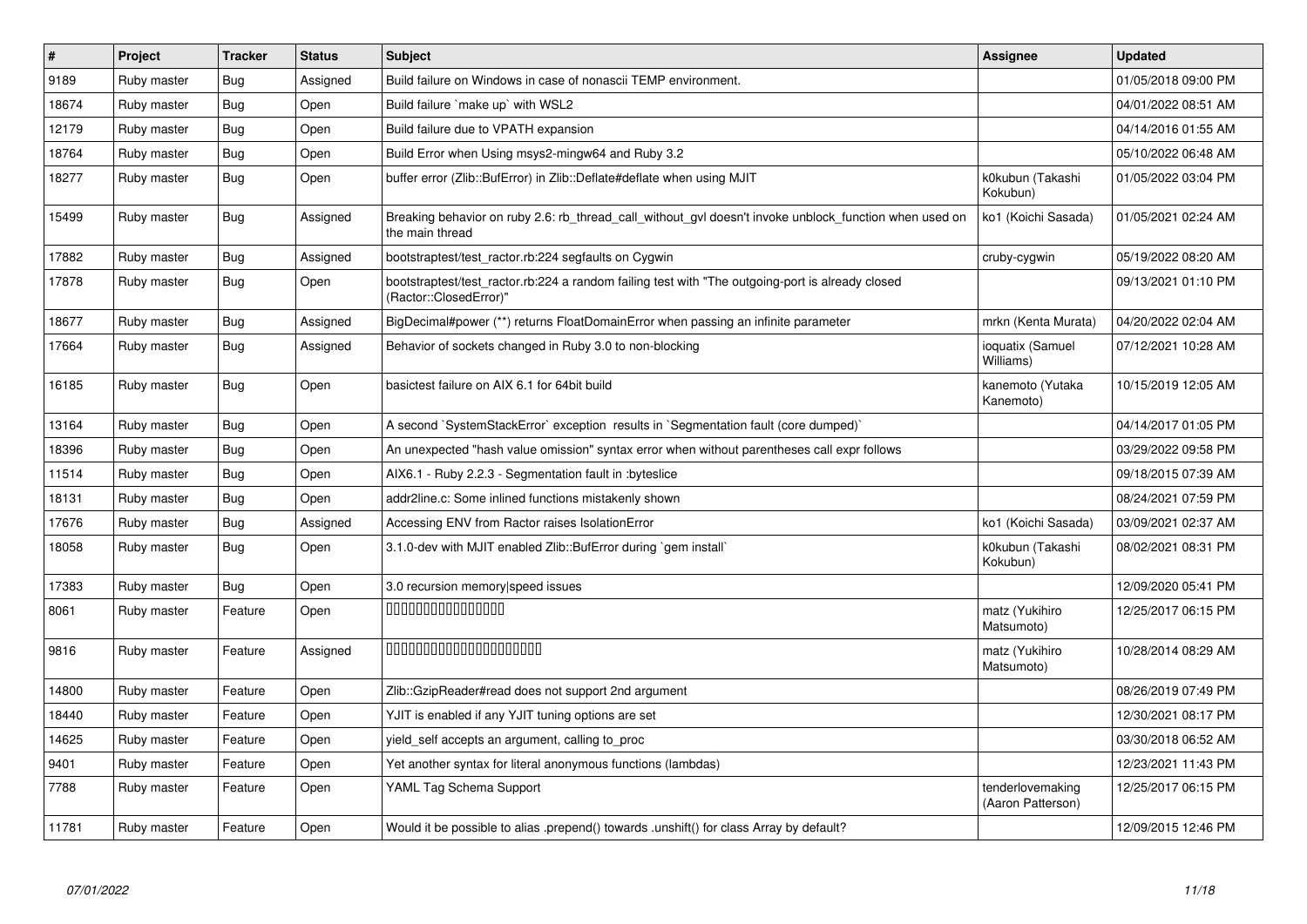| $\#$  | Project     | <b>Tracker</b> | <b>Status</b> | <b>Subject</b>                                                                                                             | <b>Assignee</b>                       | <b>Updated</b>      |
|-------|-------------|----------------|---------------|----------------------------------------------------------------------------------------------------------------------------|---------------------------------------|---------------------|
| 9189  | Ruby master | <b>Bug</b>     | Assigned      | Build failure on Windows in case of nonascii TEMP environment.                                                             |                                       | 01/05/2018 09:00 PM |
| 18674 | Ruby master | Bug            | Open          | Build failure `make up` with WSL2                                                                                          |                                       | 04/01/2022 08:51 AM |
| 12179 | Ruby master | <b>Bug</b>     | Open          | Build failure due to VPATH expansion                                                                                       |                                       | 04/14/2016 01:55 AM |
| 18764 | Ruby master | Bug            | Open          | Build Error when Using msys2-mingw64 and Ruby 3.2                                                                          |                                       | 05/10/2022 06:48 AM |
| 18277 | Ruby master | <b>Bug</b>     | Open          | buffer error (Zlib::BufError) in Zlib::Deflate#deflate when using MJIT                                                     | k0kubun (Takashi<br>Kokubun)          | 01/05/2022 03:04 PM |
| 15499 | Ruby master | <b>Bug</b>     | Assigned      | Breaking behavior on ruby 2.6: rb_thread_call_without_gvl doesn't invoke unblock_function when used on<br>the main thread  | ko1 (Koichi Sasada)                   | 01/05/2021 02:24 AM |
| 17882 | Ruby master | <b>Bug</b>     | Assigned      | bootstraptest/test_ractor.rb:224 segfaults on Cygwin                                                                       | cruby-cygwin                          | 05/19/2022 08:20 AM |
| 17878 | Ruby master | <b>Bug</b>     | Open          | bootstraptest/test_ractor.rb:224 a random failing test with "The outgoing-port is already closed<br>(Ractor::ClosedError)' |                                       | 09/13/2021 01:10 PM |
| 18677 | Ruby master | <b>Bug</b>     | Assigned      | BigDecimal#power (**) returns FloatDomainError when passing an infinite parameter                                          | mrkn (Kenta Murata)                   | 04/20/2022 02:04 AM |
| 17664 | Ruby master | Bug            | Assigned      | Behavior of sockets changed in Ruby 3.0 to non-blocking                                                                    | ioquatix (Samuel<br>Williams)         | 07/12/2021 10:28 AM |
| 16185 | Ruby master | <b>Bug</b>     | Open          | basictest failure on AIX 6.1 for 64bit build                                                                               | kanemoto (Yutaka<br>Kanemoto)         | 10/15/2019 12:05 AM |
| 13164 | Ruby master | <b>Bug</b>     | Open          | A second `SystemStackError` exception results in `Segmentation fault (core dumped)`                                        |                                       | 04/14/2017 01:05 PM |
| 18396 | Ruby master | Bug            | Open          | An unexpected "hash value omission" syntax error when without parentheses call expr follows                                |                                       | 03/29/2022 09:58 PM |
| 11514 | Ruby master | Bug            | Open          | AIX6.1 - Ruby 2.2.3 - Segmentation fault in : byteslice                                                                    |                                       | 09/18/2015 07:39 AM |
| 18131 | Ruby master | <b>Bug</b>     | Open          | addr2line.c: Some inlined functions mistakenly shown                                                                       |                                       | 08/24/2021 07:59 PM |
| 17676 | Ruby master | Bug            | Assigned      | Accessing ENV from Ractor raises IsolationError                                                                            | ko1 (Koichi Sasada)                   | 03/09/2021 02:37 AM |
| 18058 | Ruby master | <b>Bug</b>     | Open          | 3.1.0-dev with MJIT enabled Zlib::BufError during `gem install`                                                            | k0kubun (Takashi<br>Kokubun)          | 08/02/2021 08:31 PM |
| 17383 | Ruby master | Bug            | Open          | 3.0 recursion memory speed issues                                                                                          |                                       | 12/09/2020 05:41 PM |
| 8061  | Ruby master | Feature        | Open          | 000000000000000                                                                                                            | matz (Yukihiro<br>Matsumoto)          | 12/25/2017 06:15 PM |
| 9816  | Ruby master | Feature        | Assigned      | 00000000000000000000                                                                                                       | matz (Yukihiro<br>Matsumoto)          | 10/28/2014 08:29 AM |
| 14800 | Ruby master | Feature        | Open          | Zlib::GzipReader#read does not support 2nd argument                                                                        |                                       | 08/26/2019 07:49 PM |
| 18440 | Ruby master | Feature        | Open          | YJIT is enabled if any YJIT tuning options are set                                                                         |                                       | 12/30/2021 08:17 PM |
| 14625 | Ruby master | Feature        | Open          | yield_self accepts an argument, calling to_proc                                                                            |                                       | 03/30/2018 06:52 AM |
| 9401  | Ruby master | Feature        | Open          | Yet another syntax for literal anonymous functions (lambdas)                                                               |                                       | 12/23/2021 11:43 PM |
| 7788  | Ruby master | Feature        | Open          | YAML Tag Schema Support                                                                                                    | tenderlovemaking<br>(Aaron Patterson) | 12/25/2017 06:15 PM |
| 11781 | Ruby master | Feature        | Open          | Would it be possible to alias .prepend() towards .unshift() for class Array by default?                                    |                                       | 12/09/2015 12:46 PM |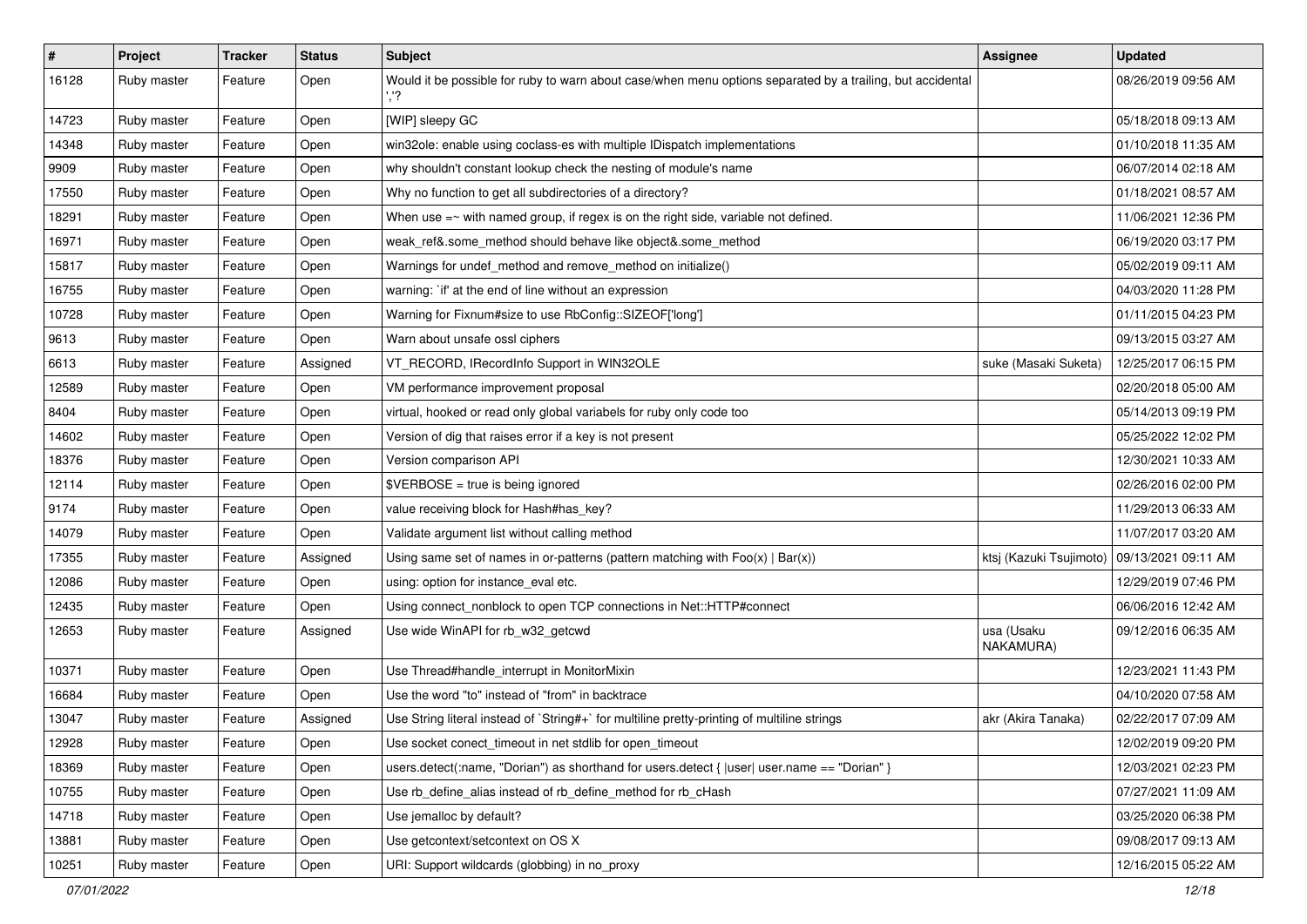| $\pmb{\#}$ | Project     | <b>Tracker</b> | <b>Status</b> | Subject                                                                                                    | Assignee                | <b>Updated</b>      |
|------------|-------------|----------------|---------------|------------------------------------------------------------------------------------------------------------|-------------------------|---------------------|
| 16128      | Ruby master | Feature        | Open          | Would it be possible for ruby to warn about case/when menu options separated by a trailing, but accidental |                         | 08/26/2019 09:56 AM |
| 14723      | Ruby master | Feature        | Open          | [WIP] sleepy GC                                                                                            |                         | 05/18/2018 09:13 AM |
| 14348      | Ruby master | Feature        | Open          | win32ole: enable using coclass-es with multiple IDispatch implementations                                  |                         | 01/10/2018 11:35 AM |
| 9909       | Ruby master | Feature        | Open          | why shouldn't constant lookup check the nesting of module's name                                           |                         | 06/07/2014 02:18 AM |
| 17550      | Ruby master | Feature        | Open          | Why no function to get all subdirectories of a directory?                                                  |                         | 01/18/2021 08:57 AM |
| 18291      | Ruby master | Feature        | Open          | When use $=\sim$ with named group, if regex is on the right side, variable not defined.                    |                         | 11/06/2021 12:36 PM |
| 16971      | Ruby master | Feature        | Open          | weak_ref&.some_method should behave like object&.some_method                                               |                         | 06/19/2020 03:17 PM |
| 15817      | Ruby master | Feature        | Open          | Warnings for undef method and remove method on initialize()                                                |                         | 05/02/2019 09:11 AM |
| 16755      | Ruby master | Feature        | Open          | warning: `if' at the end of line without an expression                                                     |                         | 04/03/2020 11:28 PM |
| 10728      | Ruby master | Feature        | Open          | Warning for Fixnum#size to use RbConfig::SIZEOF['long']                                                    |                         | 01/11/2015 04:23 PM |
| 9613       | Ruby master | Feature        | Open          | Warn about unsafe ossl ciphers                                                                             |                         | 09/13/2015 03:27 AM |
| 6613       | Ruby master | Feature        | Assigned      | VT_RECORD, IRecordInfo Support in WIN32OLE                                                                 | suke (Masaki Suketa)    | 12/25/2017 06:15 PM |
| 12589      | Ruby master | Feature        | Open          | VM performance improvement proposal                                                                        |                         | 02/20/2018 05:00 AM |
| 8404       | Ruby master | Feature        | Open          | virtual, hooked or read only global variabels for ruby only code too                                       |                         | 05/14/2013 09:19 PM |
| 14602      | Ruby master | Feature        | Open          | Version of dig that raises error if a key is not present                                                   |                         | 05/25/2022 12:02 PM |
| 18376      | Ruby master | Feature        | Open          | Version comparison API                                                                                     |                         | 12/30/2021 10:33 AM |
| 12114      | Ruby master | Feature        | Open          | \$VERBOSE = true is being ignored                                                                          |                         | 02/26/2016 02:00 PM |
| 9174       | Ruby master | Feature        | Open          | value receiving block for Hash#has_key?                                                                    |                         | 11/29/2013 06:33 AM |
| 14079      | Ruby master | Feature        | Open          | Validate argument list without calling method                                                              |                         | 11/07/2017 03:20 AM |
| 17355      | Ruby master | Feature        | Assigned      | Using same set of names in or-patterns (pattern matching with $Foo(x)   Bar(x)$ )                          | ktsj (Kazuki Tsujimoto) | 09/13/2021 09:11 AM |
| 12086      | Ruby master | Feature        | Open          | using: option for instance_eval etc.                                                                       |                         | 12/29/2019 07:46 PM |
| 12435      | Ruby master | Feature        | Open          | Using connect_nonblock to open TCP connections in Net::HTTP#connect                                        |                         | 06/06/2016 12:42 AM |
| 12653      | Ruby master | Feature        | Assigned      | Use wide WinAPI for rb_w32_getcwd                                                                          | usa (Usaku<br>NAKAMURA) | 09/12/2016 06:35 AM |
| 10371      | Ruby master | Feature        | Open          | Use Thread#handle_interrupt in MonitorMixin                                                                |                         | 12/23/2021 11:43 PM |
| 16684      | Ruby master | Feature        | Open          | Use the word "to" instead of "from" in backtrace                                                           |                         | 04/10/2020 07:58 AM |
| 13047      | Ruby master | Feature        | Assigned      | Use String literal instead of `String#+` for multiline pretty-printing of multiline strings                | akr (Akira Tanaka)      | 02/22/2017 07:09 AM |
| 12928      | Ruby master | Feature        | Open          | Use socket conect timeout in net stdlib for open timeout                                                   |                         | 12/02/2019 09:20 PM |
| 18369      | Ruby master | Feature        | Open          | users.detect(:name, "Dorian") as shorthand for users.detect {  user  user.name == "Dorian" }               |                         | 12/03/2021 02:23 PM |
| 10755      | Ruby master | Feature        | Open          | Use rb_define_alias instead of rb_define_method for rb_cHash                                               |                         | 07/27/2021 11:09 AM |
| 14718      | Ruby master | Feature        | Open          | Use jemalloc by default?                                                                                   |                         | 03/25/2020 06:38 PM |
| 13881      | Ruby master | Feature        | Open          | Use getcontext/setcontext on OS X                                                                          |                         | 09/08/2017 09:13 AM |
| 10251      | Ruby master | Feature        | Open          | URI: Support wildcards (globbing) in no_proxy                                                              |                         | 12/16/2015 05:22 AM |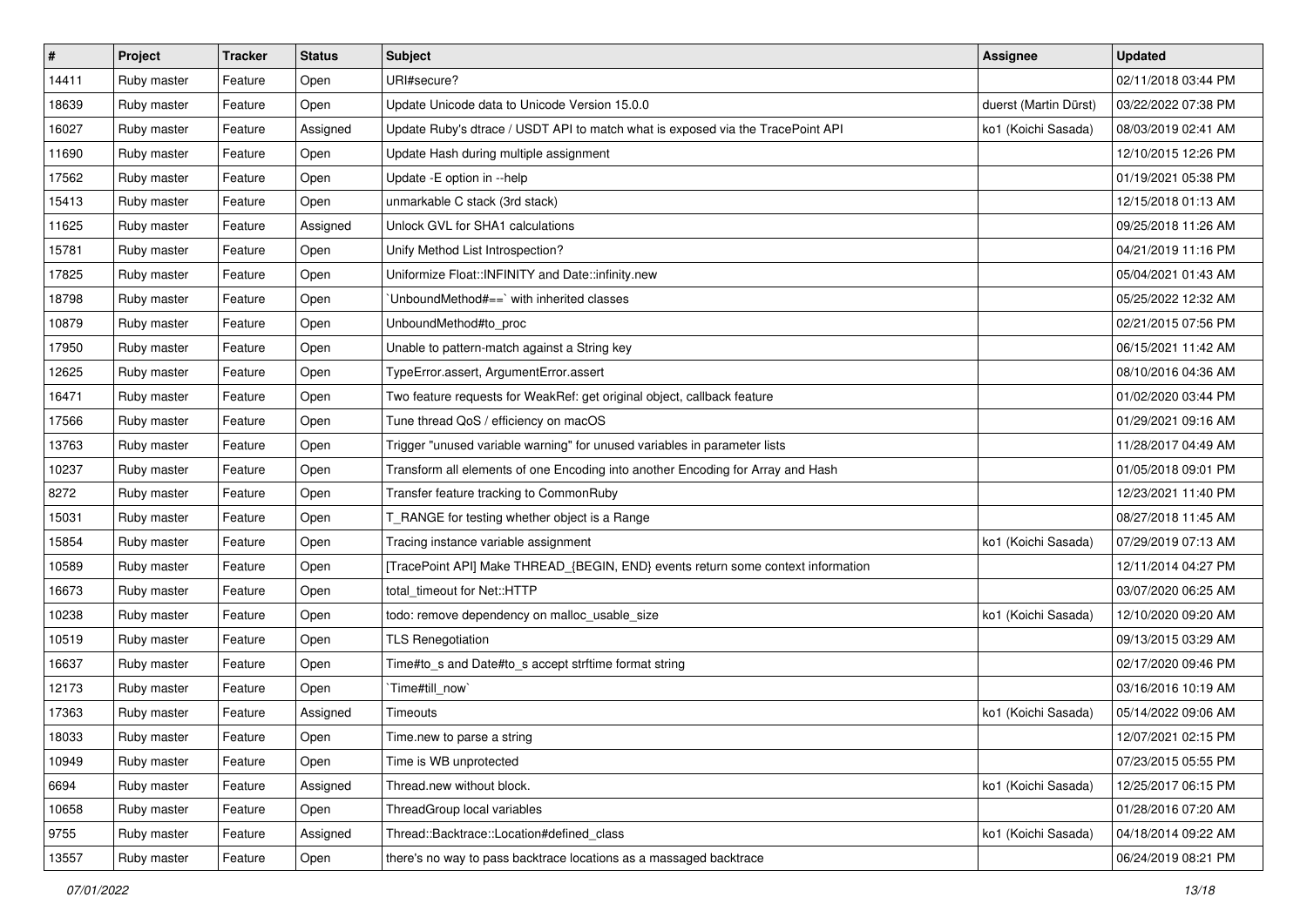| $\vert$ # | Project     | <b>Tracker</b> | <b>Status</b> | Subject                                                                          | <b>Assignee</b>       | <b>Updated</b>      |
|-----------|-------------|----------------|---------------|----------------------------------------------------------------------------------|-----------------------|---------------------|
| 14411     | Ruby master | Feature        | Open          | URI#secure?                                                                      |                       | 02/11/2018 03:44 PM |
| 18639     | Ruby master | Feature        | Open          | Update Unicode data to Unicode Version 15.0.0                                    | duerst (Martin Dürst) | 03/22/2022 07:38 PM |
| 16027     | Ruby master | Feature        | Assigned      | Update Ruby's dtrace / USDT API to match what is exposed via the TracePoint API  | ko1 (Koichi Sasada)   | 08/03/2019 02:41 AM |
| 11690     | Ruby master | Feature        | Open          | Update Hash during multiple assignment                                           |                       | 12/10/2015 12:26 PM |
| 17562     | Ruby master | Feature        | Open          | Update - E option in --help                                                      |                       | 01/19/2021 05:38 PM |
| 15413     | Ruby master | Feature        | Open          | unmarkable C stack (3rd stack)                                                   |                       | 12/15/2018 01:13 AM |
| 11625     | Ruby master | Feature        | Assigned      | Unlock GVL for SHA1 calculations                                                 |                       | 09/25/2018 11:26 AM |
| 15781     | Ruby master | Feature        | Open          | Unify Method List Introspection?                                                 |                       | 04/21/2019 11:16 PM |
| 17825     | Ruby master | Feature        | Open          | Uniformize Float::INFINITY and Date::infinity.new                                |                       | 05/04/2021 01:43 AM |
| 18798     | Ruby master | Feature        | Open          | 'UnboundMethod#==' with inherited classes                                        |                       | 05/25/2022 12:32 AM |
| 10879     | Ruby master | Feature        | Open          | UnboundMethod#to_proc                                                            |                       | 02/21/2015 07:56 PM |
| 17950     | Ruby master | Feature        | Open          | Unable to pattern-match against a String key                                     |                       | 06/15/2021 11:42 AM |
| 12625     | Ruby master | Feature        | Open          | TypeError.assert, ArgumentError.assert                                           |                       | 08/10/2016 04:36 AM |
| 16471     | Ruby master | Feature        | Open          | Two feature requests for WeakRef: get original object, callback feature          |                       | 01/02/2020 03:44 PM |
| 17566     | Ruby master | Feature        | Open          | Tune thread QoS / efficiency on macOS                                            |                       | 01/29/2021 09:16 AM |
| 13763     | Ruby master | Feature        | Open          | Trigger "unused variable warning" for unused variables in parameter lists        |                       | 11/28/2017 04:49 AM |
| 10237     | Ruby master | Feature        | Open          | Transform all elements of one Encoding into another Encoding for Array and Hash  |                       | 01/05/2018 09:01 PM |
| 8272      | Ruby master | Feature        | Open          | Transfer feature tracking to CommonRuby                                          |                       | 12/23/2021 11:40 PM |
| 15031     | Ruby master | Feature        | Open          | T_RANGE for testing whether object is a Range                                    |                       | 08/27/2018 11:45 AM |
| 15854     | Ruby master | Feature        | Open          | Tracing instance variable assignment                                             | ko1 (Koichi Sasada)   | 07/29/2019 07:13 AM |
| 10589     | Ruby master | Feature        | Open          | [TracePoint API] Make THREAD_{BEGIN, END} events return some context information |                       | 12/11/2014 04:27 PM |
| 16673     | Ruby master | Feature        | Open          | total_timeout for Net::HTTP                                                      |                       | 03/07/2020 06:25 AM |
| 10238     | Ruby master | Feature        | Open          | todo: remove dependency on malloc_usable_size                                    | ko1 (Koichi Sasada)   | 12/10/2020 09:20 AM |
| 10519     | Ruby master | Feature        | Open          | <b>TLS Renegotiation</b>                                                         |                       | 09/13/2015 03:29 AM |
| 16637     | Ruby master | Feature        | Open          | Time#to_s and Date#to_s accept strftime format string                            |                       | 02/17/2020 09:46 PM |
| 12173     | Ruby master | Feature        | Open          | Time#till_now                                                                    |                       | 03/16/2016 10:19 AM |
| 17363     | Ruby master | Feature        | Assigned      | Timeouts                                                                         | ko1 (Koichi Sasada)   | 05/14/2022 09:06 AM |
| 18033     | Ruby master | Feature        | Open          | Time.new to parse a string                                                       |                       | 12/07/2021 02:15 PM |
| 10949     | Ruby master | Feature        | Open          | Time is WB unprotected                                                           |                       | 07/23/2015 05:55 PM |
| 6694      | Ruby master | Feature        | Assigned      | Thread.new without block.                                                        | ko1 (Koichi Sasada)   | 12/25/2017 06:15 PM |
| 10658     | Ruby master | Feature        | Open          | ThreadGroup local variables                                                      |                       | 01/28/2016 07:20 AM |
| 9755      | Ruby master | Feature        | Assigned      | Thread::Backtrace::Location#defined_class                                        | ko1 (Koichi Sasada)   | 04/18/2014 09:22 AM |
| 13557     | Ruby master | Feature        | Open          | there's no way to pass backtrace locations as a massaged backtrace               |                       | 06/24/2019 08:21 PM |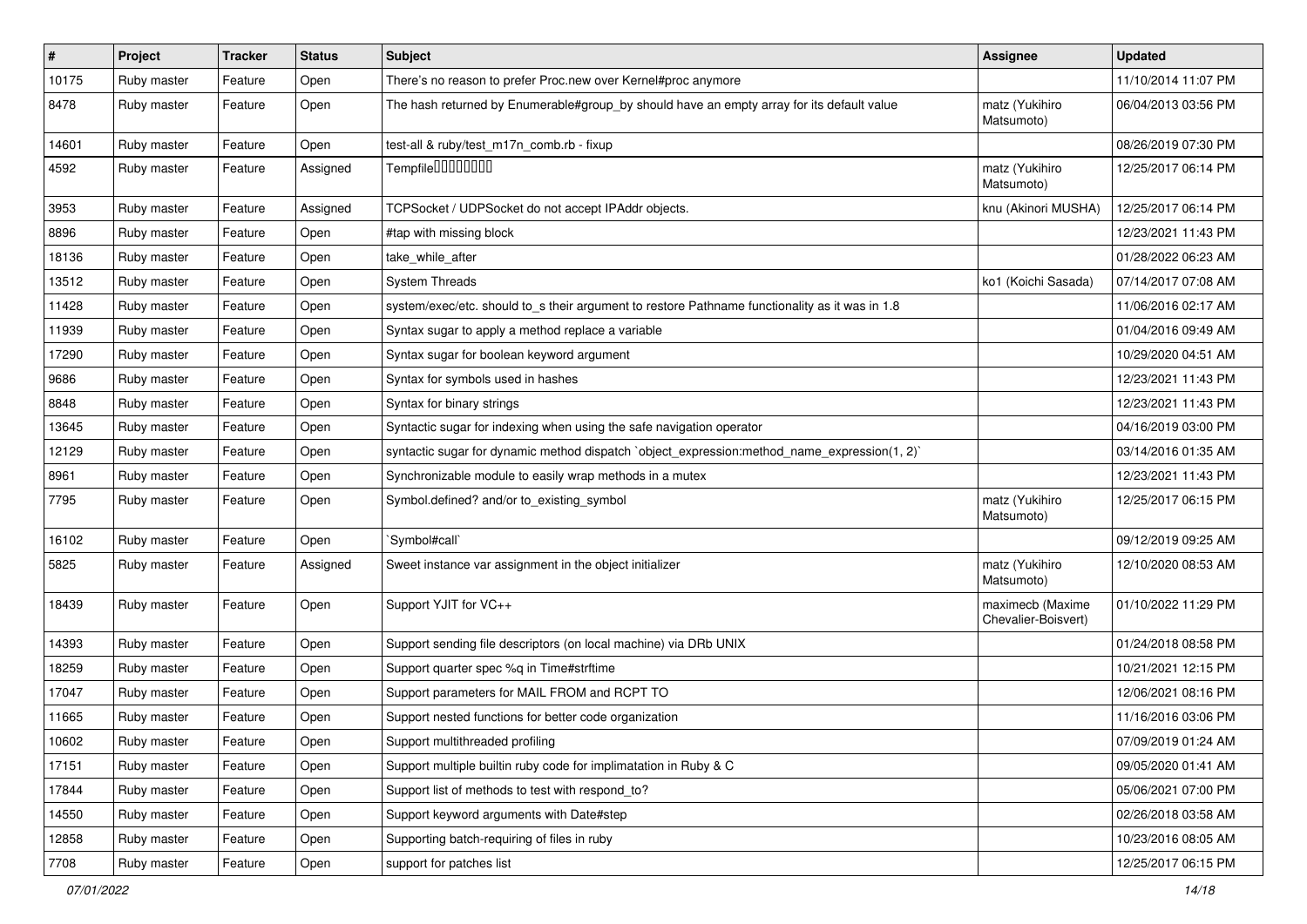| $\pmb{\#}$ | Project     | <b>Tracker</b> | <b>Status</b> | Subject                                                                                        | <b>Assignee</b>                         | <b>Updated</b>      |
|------------|-------------|----------------|---------------|------------------------------------------------------------------------------------------------|-----------------------------------------|---------------------|
| 10175      | Ruby master | Feature        | Open          | There's no reason to prefer Proc.new over Kernel#proc anymore                                  |                                         | 11/10/2014 11:07 PM |
| 8478       | Ruby master | Feature        | Open          | The hash returned by Enumerable#group_by should have an empty array for its default value      | matz (Yukihiro<br>Matsumoto)            | 06/04/2013 03:56 PM |
| 14601      | Ruby master | Feature        | Open          | test-all & ruby/test_m17n_comb.rb - fixup                                                      |                                         | 08/26/2019 07:30 PM |
| 4592       | Ruby master | Feature        | Assigned      | Tempfile0000000                                                                                | matz (Yukihiro<br>Matsumoto)            | 12/25/2017 06:14 PM |
| 3953       | Ruby master | Feature        | Assigned      | TCPSocket / UDPSocket do not accept IPAddr objects.                                            | knu (Akinori MUSHA)                     | 12/25/2017 06:14 PM |
| 8896       | Ruby master | Feature        | Open          | #tap with missing block                                                                        |                                         | 12/23/2021 11:43 PM |
| 18136      | Ruby master | Feature        | Open          | take while after                                                                               |                                         | 01/28/2022 06:23 AM |
| 13512      | Ruby master | Feature        | Open          | <b>System Threads</b>                                                                          | ko1 (Koichi Sasada)                     | 07/14/2017 07:08 AM |
| 11428      | Ruby master | Feature        | Open          | system/exec/etc. should to_s their argument to restore Pathname functionality as it was in 1.8 |                                         | 11/06/2016 02:17 AM |
| 11939      | Ruby master | Feature        | Open          | Syntax sugar to apply a method replace a variable                                              |                                         | 01/04/2016 09:49 AM |
| 17290      | Ruby master | Feature        | Open          | Syntax sugar for boolean keyword argument                                                      |                                         | 10/29/2020 04:51 AM |
| 9686       | Ruby master | Feature        | Open          | Syntax for symbols used in hashes                                                              |                                         | 12/23/2021 11:43 PM |
| 8848       | Ruby master | Feature        | Open          | Syntax for binary strings                                                                      |                                         | 12/23/2021 11:43 PM |
| 13645      | Ruby master | Feature        | Open          | Syntactic sugar for indexing when using the safe navigation operator                           |                                         | 04/16/2019 03:00 PM |
| 12129      | Ruby master | Feature        | Open          | syntactic sugar for dynamic method dispatch `object_expression:method_name_expression(1, 2)`   |                                         | 03/14/2016 01:35 AM |
| 8961       | Ruby master | Feature        | Open          | Synchronizable module to easily wrap methods in a mutex                                        |                                         | 12/23/2021 11:43 PM |
| 7795       | Ruby master | Feature        | Open          | Symbol.defined? and/or to_existing_symbol                                                      | matz (Yukihiro<br>Matsumoto)            | 12/25/2017 06:15 PM |
| 16102      | Ruby master | Feature        | Open          | 'Symbol#call'                                                                                  |                                         | 09/12/2019 09:25 AM |
| 5825       | Ruby master | Feature        | Assigned      | Sweet instance var assignment in the object initializer                                        | matz (Yukihiro<br>Matsumoto)            | 12/10/2020 08:53 AM |
| 18439      | Ruby master | Feature        | Open          | Support YJIT for VC++                                                                          | maximecb (Maxime<br>Chevalier-Boisvert) | 01/10/2022 11:29 PM |
| 14393      | Ruby master | Feature        | Open          | Support sending file descriptors (on local machine) via DRb UNIX                               |                                         | 01/24/2018 08:58 PM |
| 18259      | Ruby master | Feature        | Open          | Support quarter spec %q in Time#strftime                                                       |                                         | 10/21/2021 12:15 PM |
| 17047      | Ruby master | Feature        | Open          | Support parameters for MAIL FROM and RCPT TO                                                   |                                         | 12/06/2021 08:16 PM |
| 11665      | Ruby master | Feature        | Open          | Support nested functions for better code organization                                          |                                         | 11/16/2016 03:06 PM |
| 10602      | Ruby master | Feature        | Open          | Support multithreaded profiling                                                                |                                         | 07/09/2019 01:24 AM |
| 17151      | Ruby master | Feature        | Open          | Support multiple builtin ruby code for implimatation in Ruby & C                               |                                         | 09/05/2020 01:41 AM |
| 17844      | Ruby master | Feature        | Open          | Support list of methods to test with respond_to?                                               |                                         | 05/06/2021 07:00 PM |
| 14550      | Ruby master | Feature        | Open          | Support keyword arguments with Date#step                                                       |                                         | 02/26/2018 03:58 AM |
| 12858      | Ruby master | Feature        | Open          | Supporting batch-requiring of files in ruby                                                    |                                         | 10/23/2016 08:05 AM |
| 7708       | Ruby master | Feature        | Open          | support for patches list                                                                       |                                         | 12/25/2017 06:15 PM |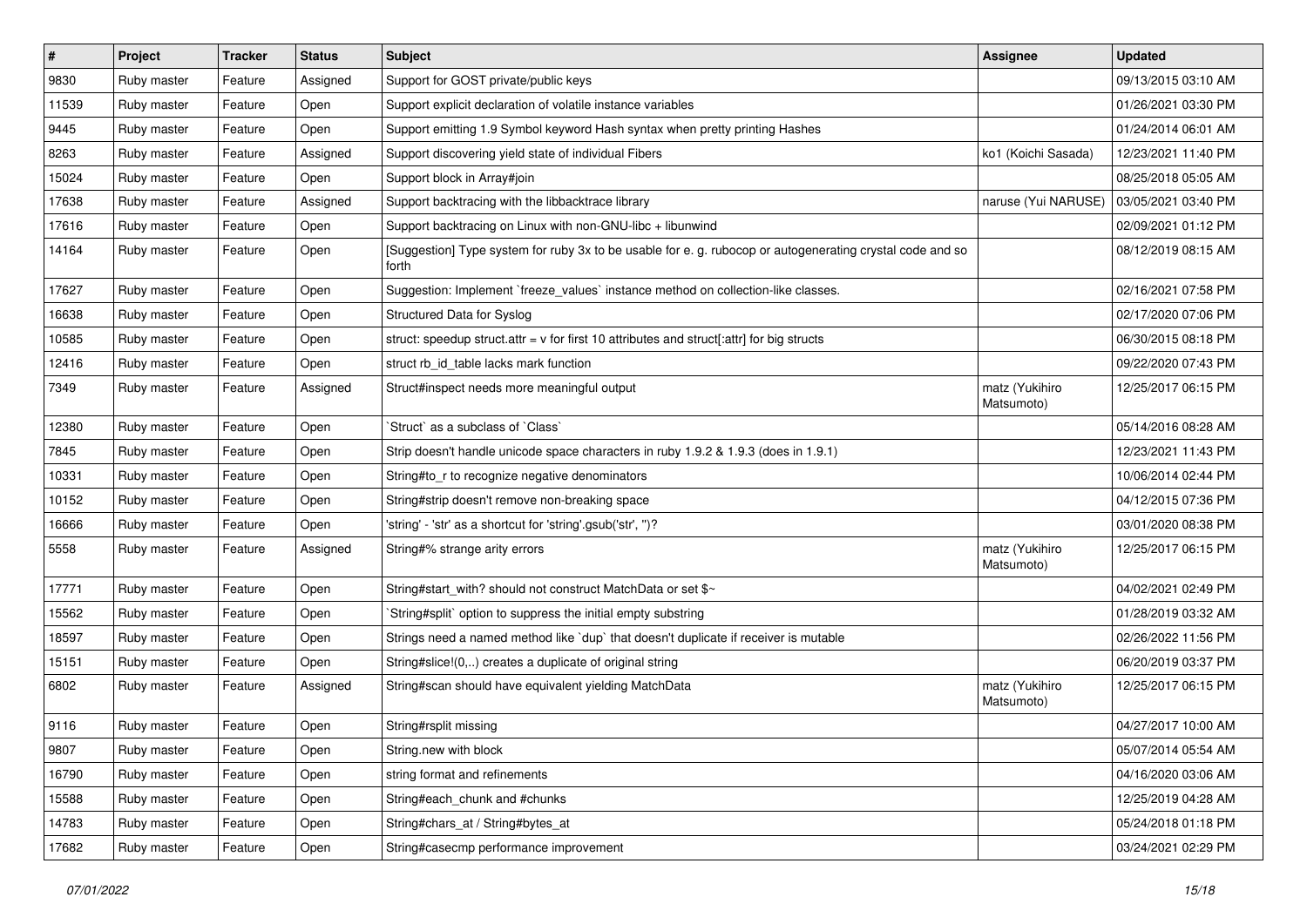| $\vert$ # | Project     | <b>Tracker</b> | <b>Status</b> | Subject                                                                                                            | Assignee                     | <b>Updated</b>      |
|-----------|-------------|----------------|---------------|--------------------------------------------------------------------------------------------------------------------|------------------------------|---------------------|
| 9830      | Ruby master | Feature        | Assigned      | Support for GOST private/public keys                                                                               |                              | 09/13/2015 03:10 AM |
| 11539     | Ruby master | Feature        | Open          | Support explicit declaration of volatile instance variables                                                        |                              | 01/26/2021 03:30 PM |
| 9445      | Ruby master | Feature        | Open          | Support emitting 1.9 Symbol keyword Hash syntax when pretty printing Hashes                                        |                              | 01/24/2014 06:01 AM |
| 8263      | Ruby master | Feature        | Assigned      | Support discovering yield state of individual Fibers                                                               | ko1 (Koichi Sasada)          | 12/23/2021 11:40 PM |
| 15024     | Ruby master | Feature        | Open          | Support block in Array#join                                                                                        |                              | 08/25/2018 05:05 AM |
| 17638     | Ruby master | Feature        | Assigned      | Support backtracing with the libbacktrace library                                                                  | naruse (Yui NARUSE)          | 03/05/2021 03:40 PM |
| 17616     | Ruby master | Feature        | Open          | Support backtracing on Linux with non-GNU-libc + libunwind                                                         |                              | 02/09/2021 01:12 PM |
| 14164     | Ruby master | Feature        | Open          | [Suggestion] Type system for ruby 3x to be usable for e. g. rubocop or autogenerating crystal code and so<br>forth |                              | 08/12/2019 08:15 AM |
| 17627     | Ruby master | Feature        | Open          | Suggestion: Implement `freeze_values` instance method on collection-like classes.                                  |                              | 02/16/2021 07:58 PM |
| 16638     | Ruby master | Feature        | Open          | Structured Data for Syslog                                                                                         |                              | 02/17/2020 07:06 PM |
| 10585     | Ruby master | Feature        | Open          | struct: speedup struct.attr = $v$ for first 10 attributes and struct[:attr] for big structs                        |                              | 06/30/2015 08:18 PM |
| 12416     | Ruby master | Feature        | Open          | struct rb_id_table lacks mark function                                                                             |                              | 09/22/2020 07:43 PM |
| 7349      | Ruby master | Feature        | Assigned      | Struct#inspect needs more meaningful output                                                                        | matz (Yukihiro<br>Matsumoto) | 12/25/2017 06:15 PM |
| 12380     | Ruby master | Feature        | Open          | 'Struct' as a subclass of 'Class'                                                                                  |                              | 05/14/2016 08:28 AM |
| 7845      | Ruby master | Feature        | Open          | Strip doesn't handle unicode space characters in ruby 1.9.2 & 1.9.3 (does in 1.9.1)                                |                              | 12/23/2021 11:43 PM |
| 10331     | Ruby master | Feature        | Open          | String#to_r to recognize negative denominators                                                                     |                              | 10/06/2014 02:44 PM |
| 10152     | Ruby master | Feature        | Open          | String#strip doesn't remove non-breaking space                                                                     |                              | 04/12/2015 07:36 PM |
| 16666     | Ruby master | Feature        | Open          | 'string' - 'str' as a shortcut for 'string'.gsub('str', ")?                                                        |                              | 03/01/2020 08:38 PM |
| 5558      | Ruby master | Feature        | Assigned      | String#% strange arity errors                                                                                      | matz (Yukihiro<br>Matsumoto) | 12/25/2017 06:15 PM |
| 17771     | Ruby master | Feature        | Open          | String#start_with? should not construct MatchData or set \$~                                                       |                              | 04/02/2021 02:49 PM |
| 15562     | Ruby master | Feature        | Open          | String#split` option to suppress the initial empty substring                                                       |                              | 01/28/2019 03:32 AM |
| 18597     | Ruby master | Feature        | Open          | Strings need a named method like 'dup' that doesn't duplicate if receiver is mutable                               |                              | 02/26/2022 11:56 PM |
| 15151     | Ruby master | Feature        | Open          | String#slice!(0,) creates a duplicate of original string                                                           |                              | 06/20/2019 03:37 PM |
| 6802      | Ruby master | Feature        | Assigned      | String#scan should have equivalent yielding MatchData                                                              | matz (Yukihiro<br>Matsumoto) | 12/25/2017 06:15 PM |
| 9116      | Ruby master | Feature        | Open          | String#rsplit missing                                                                                              |                              | 04/27/2017 10:00 AM |
| 9807      | Ruby master | Feature        | Open          | String.new with block                                                                                              |                              | 05/07/2014 05:54 AM |
| 16790     | Ruby master | Feature        | Open          | string format and refinements                                                                                      |                              | 04/16/2020 03:06 AM |
| 15588     | Ruby master | Feature        | Open          | String#each chunk and #chunks                                                                                      |                              | 12/25/2019 04:28 AM |
| 14783     | Ruby master | Feature        | Open          | String#chars_at / String#bytes_at                                                                                  |                              | 05/24/2018 01:18 PM |
| 17682     | Ruby master | Feature        | Open          | String#casecmp performance improvement                                                                             |                              | 03/24/2021 02:29 PM |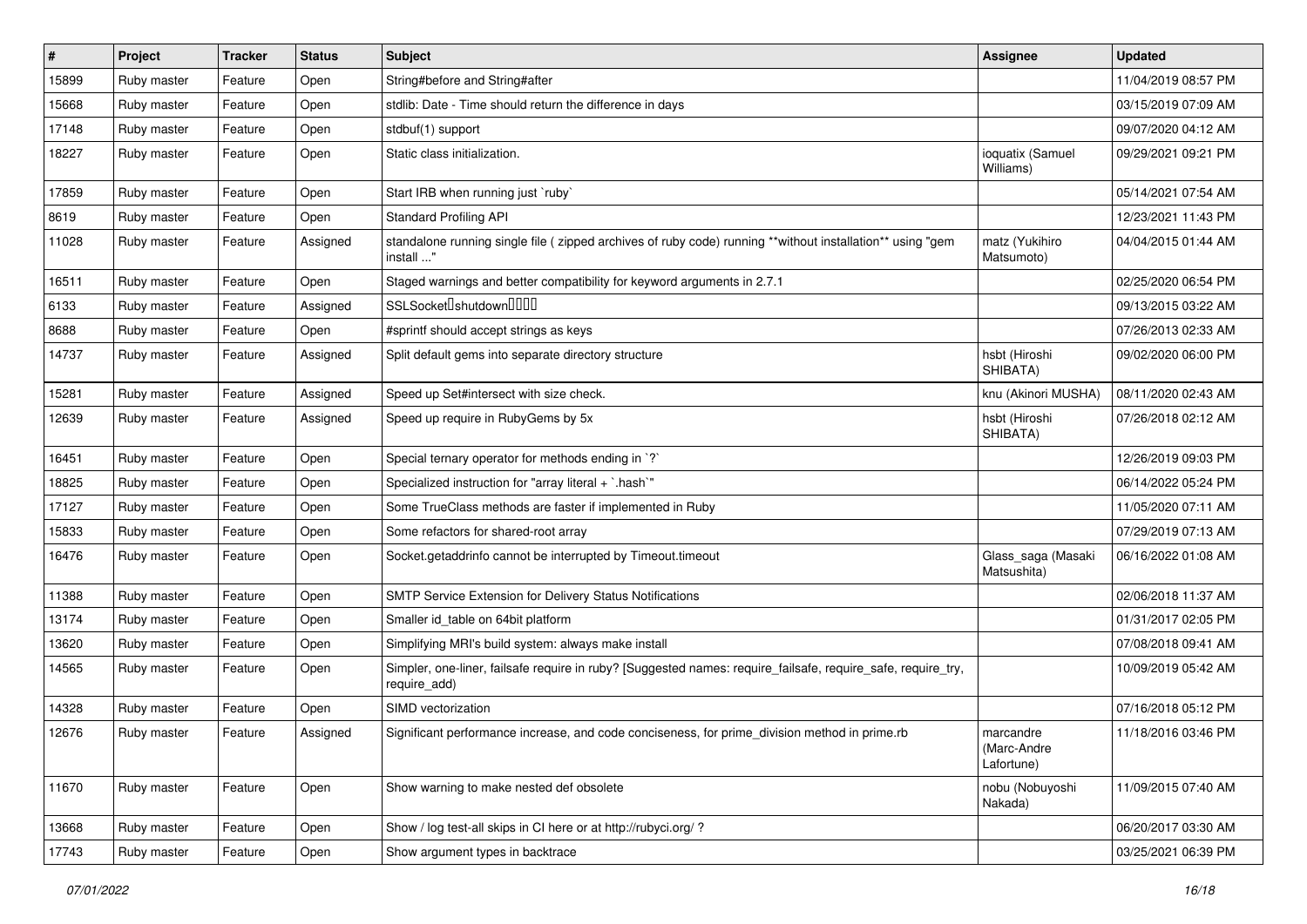| ∦     | Project     | <b>Tracker</b> | <b>Status</b> | Subject                                                                                                                      | <b>Assignee</b>                        | <b>Updated</b>      |
|-------|-------------|----------------|---------------|------------------------------------------------------------------------------------------------------------------------------|----------------------------------------|---------------------|
| 15899 | Ruby master | Feature        | Open          | String#before and String#after                                                                                               |                                        | 11/04/2019 08:57 PM |
| 15668 | Ruby master | Feature        | Open          | stdlib: Date - Time should return the difference in days                                                                     |                                        | 03/15/2019 07:09 AM |
| 17148 | Ruby master | Feature        | Open          | stdbuf(1) support                                                                                                            |                                        | 09/07/2020 04:12 AM |
| 18227 | Ruby master | Feature        | Open          | Static class initialization.                                                                                                 | ioquatix (Samuel<br>Williams)          | 09/29/2021 09:21 PM |
| 17859 | Ruby master | Feature        | Open          | Start IRB when running just `ruby`                                                                                           |                                        | 05/14/2021 07:54 AM |
| 8619  | Ruby master | Feature        | Open          | <b>Standard Profiling API</b>                                                                                                |                                        | 12/23/2021 11:43 PM |
| 11028 | Ruby master | Feature        | Assigned      | standalone running single file ( zipped archives of ruby code) running **without installation** using "gem<br>install "      | matz (Yukihiro<br>Matsumoto)           | 04/04/2015 01:44 AM |
| 16511 | Ruby master | Feature        | Open          | Staged warnings and better compatibility for keyword arguments in 2.7.1                                                      |                                        | 02/25/2020 06:54 PM |
| 6133  | Ruby master | Feature        | Assigned      | SSLSocketlshutdownllllll                                                                                                     |                                        | 09/13/2015 03:22 AM |
| 8688  | Ruby master | Feature        | Open          | #sprintf should accept strings as keys                                                                                       |                                        | 07/26/2013 02:33 AM |
| 14737 | Ruby master | Feature        | Assigned      | Split default gems into separate directory structure                                                                         | hsbt (Hiroshi<br>SHIBATA)              | 09/02/2020 06:00 PM |
| 15281 | Ruby master | Feature        | Assigned      | Speed up Set#intersect with size check.                                                                                      | knu (Akinori MUSHA)                    | 08/11/2020 02:43 AM |
| 12639 | Ruby master | Feature        | Assigned      | Speed up require in RubyGems by 5x                                                                                           | hsbt (Hiroshi<br>SHIBATA)              | 07/26/2018 02:12 AM |
| 16451 | Ruby master | Feature        | Open          | Special ternary operator for methods ending in `?`                                                                           |                                        | 12/26/2019 09:03 PM |
| 18825 | Ruby master | Feature        | Open          | Specialized instruction for "array literal + `.hash`"                                                                        |                                        | 06/14/2022 05:24 PM |
| 17127 | Ruby master | Feature        | Open          | Some TrueClass methods are faster if implemented in Ruby                                                                     |                                        | 11/05/2020 07:11 AM |
| 15833 | Ruby master | Feature        | Open          | Some refactors for shared-root array                                                                                         |                                        | 07/29/2019 07:13 AM |
| 16476 | Ruby master | Feature        | Open          | Socket.getaddrinfo cannot be interrupted by Timeout.timeout                                                                  | Glass_saga (Masaki<br>Matsushita)      | 06/16/2022 01:08 AM |
| 11388 | Ruby master | Feature        | Open          | SMTP Service Extension for Delivery Status Notifications                                                                     |                                        | 02/06/2018 11:37 AM |
| 13174 | Ruby master | Feature        | Open          | Smaller id table on 64bit platform                                                                                           |                                        | 01/31/2017 02:05 PM |
| 13620 | Ruby master | Feature        | Open          | Simplifying MRI's build system: always make install                                                                          |                                        | 07/08/2018 09:41 AM |
| 14565 | Ruby master | Feature        | Open          | Simpler, one-liner, failsafe require in ruby? [Suggested names: require_failsafe, require_safe, require_try,<br>require_add) |                                        | 10/09/2019 05:42 AM |
| 14328 | Ruby master | Feature        | Open          | SIMD vectorization                                                                                                           |                                        | 07/16/2018 05:12 PM |
| 12676 | Ruby master | Feature        | Assigned      | Significant performance increase, and code conciseness, for prime_division method in prime.rb                                | marcandre<br>(Marc-Andre<br>Lafortune) | 11/18/2016 03:46 PM |
| 11670 | Ruby master | Feature        | Open          | Show warning to make nested def obsolete                                                                                     | nobu (Nobuyoshi<br>Nakada)             | 11/09/2015 07:40 AM |
| 13668 | Ruby master | Feature        | Open          | Show / log test-all skips in CI here or at http://rubyci.org/?                                                               |                                        | 06/20/2017 03:30 AM |
| 17743 | Ruby master | Feature        | Open          | Show argument types in backtrace                                                                                             |                                        | 03/25/2021 06:39 PM |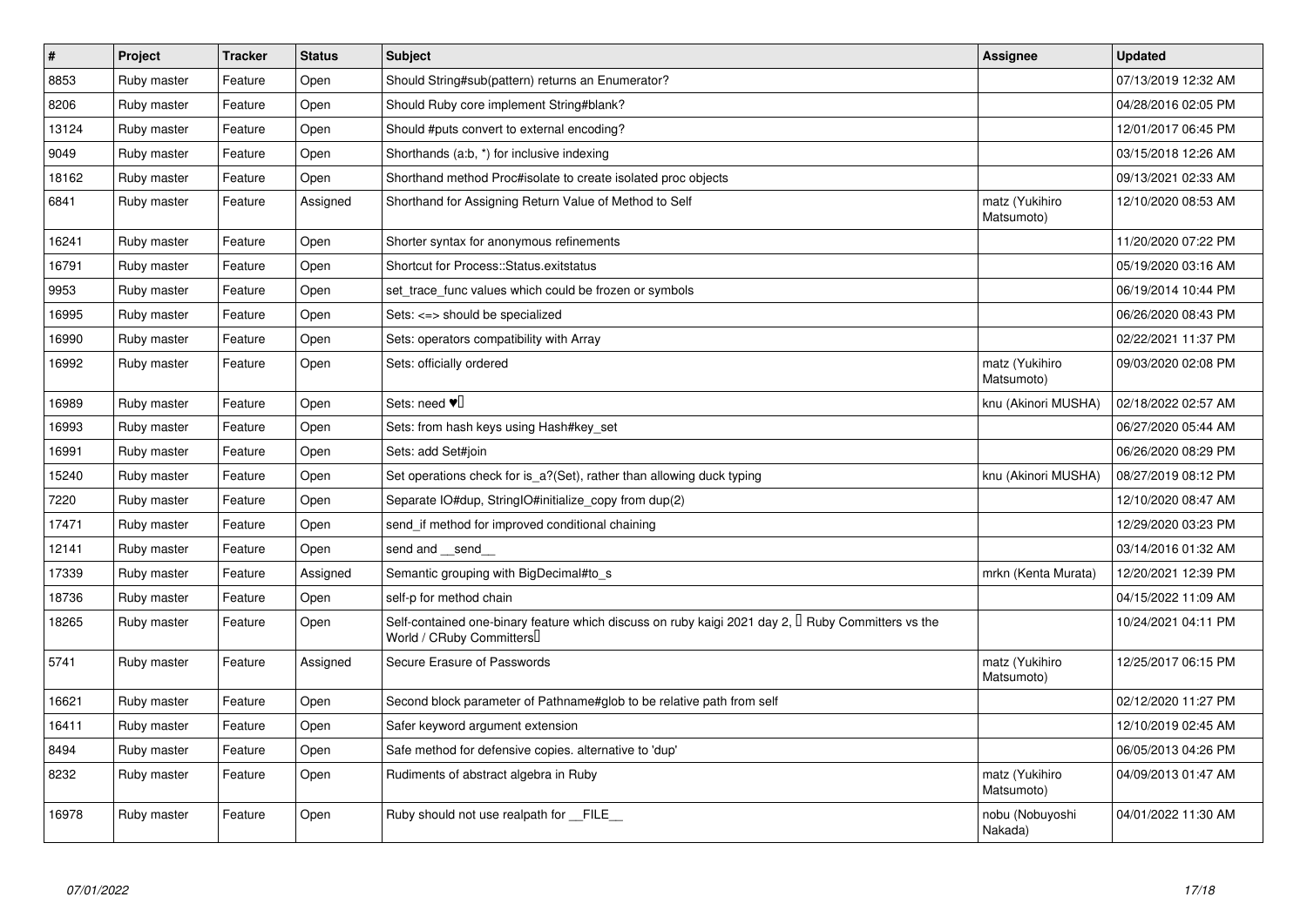| $\vert$ # | Project     | <b>Tracker</b> | <b>Status</b> | <b>Subject</b>                                                                                                                      | Assignee                     | <b>Updated</b>      |
|-----------|-------------|----------------|---------------|-------------------------------------------------------------------------------------------------------------------------------------|------------------------------|---------------------|
| 8853      | Ruby master | Feature        | Open          | Should String#sub(pattern) returns an Enumerator?                                                                                   |                              | 07/13/2019 12:32 AM |
| 8206      | Ruby master | Feature        | Open          | Should Ruby core implement String#blank?                                                                                            |                              | 04/28/2016 02:05 PM |
| 13124     | Ruby master | Feature        | Open          | Should #puts convert to external encoding?                                                                                          |                              | 12/01/2017 06:45 PM |
| 9049      | Ruby master | Feature        | Open          | Shorthands (a:b, *) for inclusive indexing                                                                                          |                              | 03/15/2018 12:26 AM |
| 18162     | Ruby master | Feature        | Open          | Shorthand method Proc#isolate to create isolated proc objects                                                                       |                              | 09/13/2021 02:33 AM |
| 6841      | Ruby master | Feature        | Assigned      | Shorthand for Assigning Return Value of Method to Self                                                                              | matz (Yukihiro<br>Matsumoto) | 12/10/2020 08:53 AM |
| 16241     | Ruby master | Feature        | Open          | Shorter syntax for anonymous refinements                                                                                            |                              | 11/20/2020 07:22 PM |
| 16791     | Ruby master | Feature        | Open          | Shortcut for Process::Status.exitstatus                                                                                             |                              | 05/19/2020 03:16 AM |
| 9953      | Ruby master | Feature        | Open          | set trace func values which could be frozen or symbols                                                                              |                              | 06/19/2014 10:44 PM |
| 16995     | Ruby master | Feature        | Open          | Sets: <=> should be specialized                                                                                                     |                              | 06/26/2020 08:43 PM |
| 16990     | Ruby master | Feature        | Open          | Sets: operators compatibility with Array                                                                                            |                              | 02/22/2021 11:37 PM |
| 16992     | Ruby master | Feature        | Open          | Sets: officially ordered                                                                                                            | matz (Yukihiro<br>Matsumoto) | 09/03/2020 02:08 PM |
| 16989     | Ruby master | Feature        | Open          | Sets: need $\Psi$                                                                                                                   | knu (Akinori MUSHA)          | 02/18/2022 02:57 AM |
| 16993     | Ruby master | Feature        | Open          | Sets: from hash keys using Hash#key set                                                                                             |                              | 06/27/2020 05:44 AM |
| 16991     | Ruby master | Feature        | Open          | Sets: add Set#join                                                                                                                  |                              | 06/26/2020 08:29 PM |
| 15240     | Ruby master | Feature        | Open          | Set operations check for is_a?(Set), rather than allowing duck typing                                                               | knu (Akinori MUSHA)          | 08/27/2019 08:12 PM |
| 7220      | Ruby master | Feature        | Open          | Separate IO#dup, StringIO#initialize_copy from dup(2)                                                                               |                              | 12/10/2020 08:47 AM |
| 17471     | Ruby master | Feature        | Open          | send_if method for improved conditional chaining                                                                                    |                              | 12/29/2020 03:23 PM |
| 12141     | Ruby master | Feature        | Open          | send and send                                                                                                                       |                              | 03/14/2016 01:32 AM |
| 17339     | Ruby master | Feature        | Assigned      | Semantic grouping with BigDecimal#to s                                                                                              | mrkn (Kenta Murata)          | 12/20/2021 12:39 PM |
| 18736     | Ruby master | Feature        | Open          | self-p for method chain                                                                                                             |                              | 04/15/2022 11:09 AM |
| 18265     | Ruby master | Feature        | Open          | Self-contained one-binary feature which discuss on ruby kaigi 2021 day 2, $\Box$ Ruby Committers vs the<br>World / CRuby Committers |                              | 10/24/2021 04:11 PM |
| 5741      | Ruby master | Feature        | Assigned      | Secure Erasure of Passwords                                                                                                         | matz (Yukihiro<br>Matsumoto) | 12/25/2017 06:15 PM |
| 16621     | Ruby master | Feature        | Open          | Second block parameter of Pathname#glob to be relative path from self                                                               |                              | 02/12/2020 11:27 PM |
| 16411     | Ruby master | Feature        | Open          | Safer keyword argument extension                                                                                                    |                              | 12/10/2019 02:45 AM |
| 8494      | Ruby master | Feature        | Open          | Safe method for defensive copies. alternative to 'dup'                                                                              |                              | 06/05/2013 04:26 PM |
| 8232      | Ruby master | Feature        | Open          | Rudiments of abstract algebra in Ruby                                                                                               | matz (Yukihiro<br>Matsumoto) | 04/09/2013 01:47 AM |
| 16978     | Ruby master | Feature        | Open          | Ruby should not use realpath for __FILE__                                                                                           | nobu (Nobuyoshi<br>Nakada)   | 04/01/2022 11:30 AM |